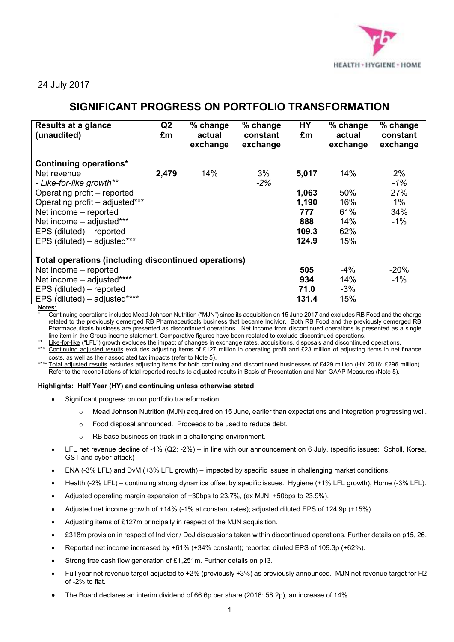

24 July 2017

## **SIGNIFICANT PROGRESS ON PORTFOLIO TRANSFORMATION**

| <b>Results at a glance</b><br>(unaudited)                   | Q2<br>£m | % change<br>actual<br>exchange | % change<br>constant<br>exchange | <b>HY</b><br>£m | % change<br>actual<br>exchange | % change<br>constant<br>exchange |
|-------------------------------------------------------------|----------|--------------------------------|----------------------------------|-----------------|--------------------------------|----------------------------------|
| Continuing operations*                                      |          |                                |                                  |                 |                                |                                  |
| Net revenue                                                 | 2,479    | 14%                            | 3%                               | 5,017           | 14%                            | 2%                               |
| - Like-for-like growth**                                    |          |                                | $-2%$                            |                 |                                | $-1%$                            |
| Operating profit - reported                                 |          |                                |                                  | 1,063           | 50%                            | 27%                              |
| Operating profit - adjusted***                              |          |                                |                                  | 1,190           | 16%                            | $1\%$                            |
| Net income – reported                                       |          |                                |                                  | 777             | 61%                            | 34%                              |
| Net income - adjusted***                                    |          |                                |                                  | 888             | 14%                            | $-1%$                            |
| EPS (diluted) – reported                                    |          |                                |                                  | 109.3           | 62%                            |                                  |
| EPS (diluted) - adjusted***                                 |          |                                |                                  | 124.9           | 15%                            |                                  |
| <b>Total operations (including discontinued operations)</b> |          |                                |                                  |                 |                                |                                  |
| Net income – reported                                       |          |                                |                                  | 505             | $-4%$                          | $-20%$                           |
| Net income - adjusted****                                   |          |                                |                                  | 934             | 14%                            | $-1%$                            |
| EPS (diluted) – reported                                    |          |                                |                                  | 71.0            | $-3%$                          |                                  |
| EPS (diluted) - adjusted****                                |          |                                |                                  | 131.4           | 15%                            |                                  |

**Notes:** 

Continuing operations includes Mead Johnson Nutrition ("MJN") since its acquisition on 15 June 2017 and excludes RB Food and the charge related to the previously demerged RB Pharmaceuticals business that became Indivior. Both RB Food and the previously demerged RB Pharmaceuticals business are presented as discontinued operations. Net income from discontinued operations is presented as a single line item in the Group income statement. Comparative figures have been restated to exclude discontinued operations.

Like-for-like ("LFL") growth excludes the impact of changes in exchange rates, acquisitions, disposals and discontinued operations.

\*\*\* Continuing adjusted results excludes adjusting items of £127 million in operating profit and £23 million of adjusting items in net finance costs, as well as their associated tax impacts (refer to Note 5).

Total adjusted results excludes adjusting items for both continuing and discontinued businesses of £429 million (HY 2016: £296 million). Refer to the reconciliations of total reported results to adjusted results in Basis of Presentation and Non-GAAP Measures (Note 5).

#### **Highlights: Half Year (HY) and continuing unless otherwise stated**

- Significant progress on our portfolio transformation:
	- o Mead Johnson Nutrition (MJN) acquired on 15 June, earlier than expectations and integration progressing well.
	- o Food disposal announced. Proceeds to be used to reduce debt.
	- o RB base business on track in a challenging environment.
- LFL net revenue decline of -1% (Q2: -2%) in line with our announcement on 6 July. (specific issues: Scholl, Korea, GST and cyber-attack)
- ENA (-3% LFL) and DvM (+3% LFL growth) impacted by specific issues in challenging market conditions.
- Health (-2% LFL) continuing strong dynamics offset by specific issues. Hygiene (+1% LFL growth), Home (-3% LFL).
- Adjusted operating margin expansion of +30bps to 23.7%, (ex MJN: +50bps to 23.9%).
- Adjusted net income growth of +14% (-1% at constant rates); adjusted diluted EPS of 124.9p (+15%).
- Adjusting items of £127m principally in respect of the MJN acquisition.
- £318m provision in respect of Indivior / DoJ discussions taken within discontinued operations. Further details on p15, 26.
- Reported net income increased by +61% (+34% constant); reported diluted EPS of 109.3p (+62%).
- Strong free cash flow generation of £1,251m. Further details on p13.
- Full year net revenue target adjusted to +2% (previously +3%) as previously announced. MJN net revenue target for H2 of -2% to flat.
- The Board declares an interim dividend of 66.6p per share (2016: 58.2p), an increase of 14%.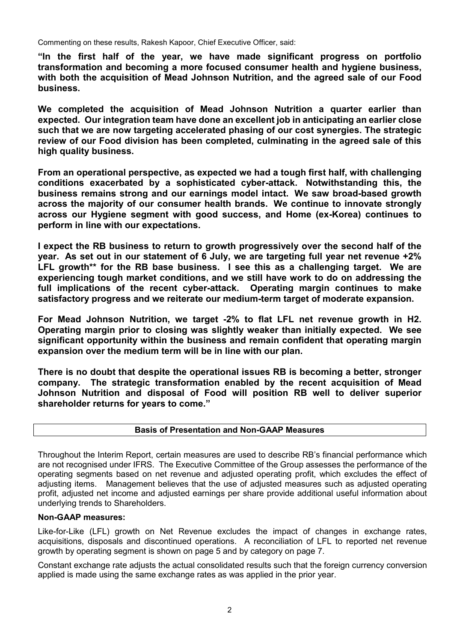Commenting on these results, Rakesh Kapoor, Chief Executive Officer, said:

**"In the first half of the year, we have made significant progress on portfolio transformation and becoming a more focused consumer health and hygiene business, with both the acquisition of Mead Johnson Nutrition, and the agreed sale of our Food business.** 

**We completed the acquisition of Mead Johnson Nutrition a quarter earlier than expected. Our integration team have done an excellent job in anticipating an earlier close such that we are now targeting accelerated phasing of our cost synergies. The strategic review of our Food division has been completed, culminating in the agreed sale of this high quality business.** 

**From an operational perspective, as expected we had a tough first half, with challenging conditions exacerbated by a sophisticated cyber-attack. Notwithstanding this, the business remains strong and our earnings model intact. We saw broad-based growth across the majority of our consumer health brands. We continue to innovate strongly across our Hygiene segment with good success, and Home (ex-Korea) continues to perform in line with our expectations.** 

**I expect the RB business to return to growth progressively over the second half of the year. As set out in our statement of 6 July, we are targeting full year net revenue +2% LFL growth\*\* for the RB base business. I see this as a challenging target. We are experiencing tough market conditions, and we still have work to do on addressing the full implications of the recent cyber-attack. Operating margin continues to make satisfactory progress and we reiterate our medium-term target of moderate expansion.** 

**For Mead Johnson Nutrition, we target -2% to flat LFL net revenue growth in H2. Operating margin prior to closing was slightly weaker than initially expected. We see significant opportunity within the business and remain confident that operating margin expansion over the medium term will be in line with our plan.** 

**There is no doubt that despite the operational issues RB is becoming a better, stronger company. The strategic transformation enabled by the recent acquisition of Mead Johnson Nutrition and disposal of Food will position RB well to deliver superior shareholder returns for years to come."** 

#### **Basis of Presentation and Non-GAAP Measures**

Throughout the Interim Report, certain measures are used to describe RB's financial performance which are not recognised under IFRS. The Executive Committee of the Group assesses the performance of the operating segments based on net revenue and adjusted operating profit, which excludes the effect of adjusting items. Management believes that the use of adjusted measures such as adjusted operating profit, adjusted net income and adjusted earnings per share provide additional useful information about underlying trends to Shareholders.

#### **Non-GAAP measures:**

Like-for-Like (LFL) growth on Net Revenue excludes the impact of changes in exchange rates, acquisitions, disposals and discontinued operations. A reconciliation of LFL to reported net revenue growth by operating segment is shown on page 5 and by category on page 7.

Constant exchange rate adjusts the actual consolidated results such that the foreign currency conversion applied is made using the same exchange rates as was applied in the prior year.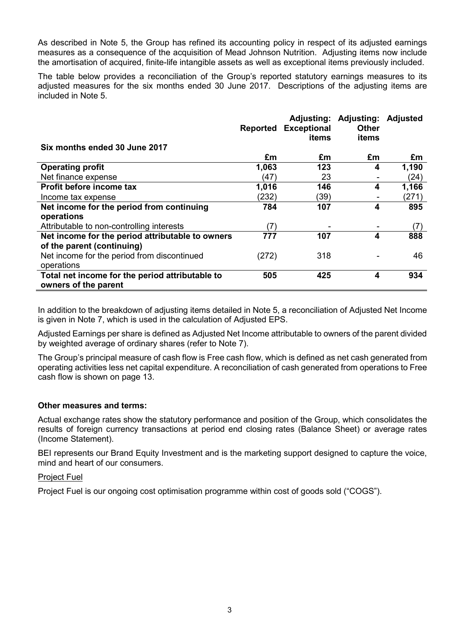As described in Note 5, the Group has refined its accounting policy in respect of its adjusted earnings measures as a consequence of the acquisition of Mead Johnson Nutrition. Adjusting items now include the amortisation of acquired, finite-life intangible assets as well as exceptional items previously included.

The table below provides a reconciliation of the Group's reported statutory earnings measures to its adjusted measures for the six months ended 30 June 2017. Descriptions of the adjusting items are included in Note 5.

|                                                  | <b>Reported</b>   | <b>Exceptional</b><br>items | Adjusting: Adjusting: Adjusted<br><b>Other</b><br>items |       |
|--------------------------------------------------|-------------------|-----------------------------|---------------------------------------------------------|-------|
| Six months ended 30 June 2017                    | £m                | £m                          | £m                                                      | £m    |
| <b>Operating profit</b>                          | 1,063             | 123                         | 4                                                       | 1,190 |
| Net finance expense                              | (47)              | 23                          |                                                         | (24)  |
| Profit before income tax                         | 1,016             | 146                         | 4                                                       | 1,166 |
| Income tax expense                               | (232)             | (39)                        |                                                         | (271) |
| Net income for the period from continuing        | 784               | 107                         | 4                                                       | 895   |
| operations                                       |                   |                             |                                                         |       |
| Attributable to non-controlling interests        | $\left( 7\right)$ |                             |                                                         | (7)   |
| Net income for the period attributable to owners | 777               | 107                         | 4                                                       | 888   |
| of the parent (continuing)                       |                   |                             |                                                         |       |
| Net income for the period from discontinued      | (272)             | 318                         |                                                         | 46    |
| operations                                       |                   |                             |                                                         |       |
| Total net income for the period attributable to  | 505               | 425                         | 4                                                       | 934   |
| owners of the parent                             |                   |                             |                                                         |       |

In addition to the breakdown of adjusting items detailed in Note 5, a reconciliation of Adjusted Net Income is given in Note 7, which is used in the calculation of Adjusted EPS.

Adjusted Earnings per share is defined as Adjusted Net Income attributable to owners of the parent divided by weighted average of ordinary shares (refer to Note 7).

The Group's principal measure of cash flow is Free cash flow, which is defined as net cash generated from operating activities less net capital expenditure. A reconciliation of cash generated from operations to Free cash flow is shown on page 13.

#### **Other measures and terms:**

Actual exchange rates show the statutory performance and position of the Group, which consolidates the results of foreign currency transactions at period end closing rates (Balance Sheet) or average rates (Income Statement).

BEI represents our Brand Equity Investment and is the marketing support designed to capture the voice, mind and heart of our consumers.

#### Project Fuel

Project Fuel is our ongoing cost optimisation programme within cost of goods sold ("COGS").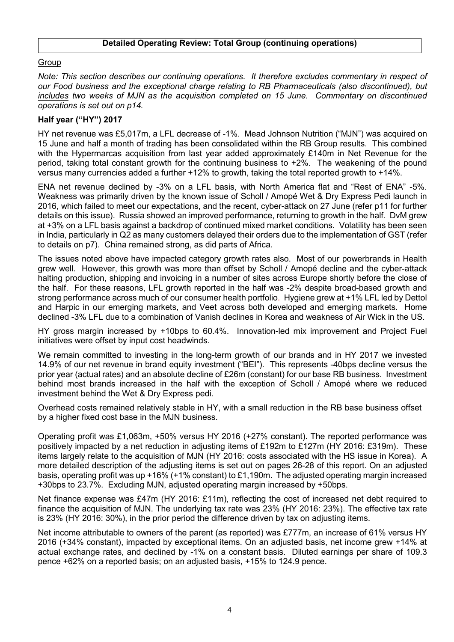#### **Detailed Operating Review: Total Group (continuing operations)**

#### **Group**

*Note: This section describes our continuing operations. It therefore excludes commentary in respect of our Food business and the exceptional charge relating to RB Pharmaceuticals (also discontinued), but includes two weeks of MJN as the acquisition completed on 15 June. Commentary on discontinued operations is set out on p14.* 

#### **Half year ("HY") 2017**

HY net revenue was £5,017m, a LFL decrease of -1%. Mead Johnson Nutrition ("MJN") was acquired on 15 June and half a month of trading has been consolidated within the RB Group results. This combined with the Hypermarcas acquisition from last year added approximately £140m in Net Revenue for the period, taking total constant growth for the continuing business to +2%. The weakening of the pound versus many currencies added a further +12% to growth, taking the total reported growth to +14%.

ENA net revenue declined by -3% on a LFL basis, with North America flat and "Rest of ENA" -5%. Weakness was primarily driven by the known issue of Scholl / Amopé Wet & Dry Express Pedi launch in 2016, which failed to meet our expectations, and the recent, cyber-attack on 27 June (refer p11 for further details on this issue). Russia showed an improved performance, returning to growth in the half. DvM grew at +3% on a LFL basis against a backdrop of continued mixed market conditions. Volatility has been seen in India, particularly in Q2 as many customers delayed their orders due to the implementation of GST (refer to details on p7). China remained strong, as did parts of Africa.

The issues noted above have impacted category growth rates also. Most of our powerbrands in Health grew well. However, this growth was more than offset by Scholl / Amopé decline and the cyber-attack halting production, shipping and invoicing in a number of sites across Europe shortly before the close of the half. For these reasons, LFL growth reported in the half was -2% despite broad-based growth and strong performance across much of our consumer health portfolio. Hygiene grew at +1% LFL led by Dettol and Harpic in our emerging markets, and Veet across both developed and emerging markets. Home declined -3% LFL due to a combination of Vanish declines in Korea and weakness of Air Wick in the US.

HY gross margin increased by +10bps to 60.4%. Innovation-led mix improvement and Project Fuel initiatives were offset by input cost headwinds.

We remain committed to investing in the long-term growth of our brands and in HY 2017 we invested 14.9% of our net revenue in brand equity investment ("BEI"). This represents -40bps decline versus the prior year (actual rates) and an absolute decline of £26m (constant) for our base RB business. Investment behind most brands increased in the half with the exception of Scholl / Amopé where we reduced investment behind the Wet & Dry Express pedi.

Overhead costs remained relatively stable in HY, with a small reduction in the RB base business offset by a higher fixed cost base in the MJN business.

Operating profit was £1,063m, +50% versus HY 2016 (+27% constant). The reported performance was positively impacted by a net reduction in adjusting items of £192m to £127m (HY 2016: £319m). These items largely relate to the acquisition of MJN (HY 2016: costs associated with the HS issue in Korea). A more detailed description of the adjusting items is set out on pages 26-28 of this report. On an adjusted basis, operating profit was up +16% (+1% constant) to £1,190m. The adjusted operating margin increased +30bps to 23.7%. Excluding MJN, adjusted operating margin increased by +50bps.

Net finance expense was £47m (HY 2016: £11m), reflecting the cost of increased net debt required to finance the acquisition of MJN. The underlying tax rate was 23% (HY 2016: 23%). The effective tax rate is 23% (HY 2016: 30%), in the prior period the difference driven by tax on adjusting items.

Net income attributable to owners of the parent (as reported) was £777m, an increase of 61% versus HY 2016 (+34% constant), impacted by exceptional items. On an adjusted basis, net income grew +14% at actual exchange rates, and declined by -1% on a constant basis. Diluted earnings per share of 109.3 pence +62% on a reported basis; on an adjusted basis, +15% to 124.9 pence.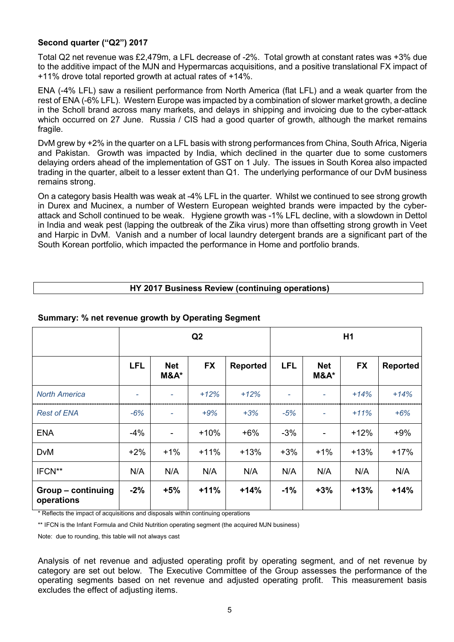#### **Second quarter ("Q2") 2017**

Total Q2 net revenue was £2,479m, a LFL decrease of -2%. Total growth at constant rates was +3% due to the additive impact of the MJN and Hypermarcas acquisitions, and a positive translational FX impact of +11% drove total reported growth at actual rates of +14%.

ENA (-4% LFL) saw a resilient performance from North America (flat LFL) and a weak quarter from the rest of ENA (-6% LFL). Western Europe was impacted by a combination of slower market growth, a decline in the Scholl brand across many markets, and delays in shipping and invoicing due to the cyber-attack which occurred on 27 June. Russia / CIS had a good quarter of growth, although the market remains fragile.

DvM grew by +2% in the quarter on a LFL basis with strong performances from China, South Africa, Nigeria and Pakistan. Growth was impacted by India, which declined in the quarter due to some customers delaying orders ahead of the implementation of GST on 1 July. The issues in South Korea also impacted trading in the quarter, albeit to a lesser extent than Q1. The underlying performance of our DvM business remains strong.

On a category basis Health was weak at -4% LFL in the quarter. Whilst we continued to see strong growth in Durex and Mucinex, a number of Western European weighted brands were impacted by the cyberattack and Scholl continued to be weak. Hygiene growth was -1% LFL decline, with a slowdown in Dettol in India and weak pest (lapping the outbreak of the Zika virus) more than offsetting strong growth in Veet and Harpic in DvM. Vanish and a number of local laundry detergent brands are a significant part of the South Korean portfolio, which impacted the performance in Home and portfolio brands.

#### **HY 2017 Business Review (continuing operations)**

|                                  | Q <sub>2</sub> |                          |           |                 | H1                       |                               |           |                 |
|----------------------------------|----------------|--------------------------|-----------|-----------------|--------------------------|-------------------------------|-----------|-----------------|
|                                  | <b>LFL</b>     | <b>Net</b><br>$M&A^*$    | <b>FX</b> | <b>Reported</b> | LFL.                     | <b>Net</b><br><b>M&amp;A*</b> | <b>FX</b> | <b>Reported</b> |
| <b>North America</b>             | ٠              | $\overline{\phantom{a}}$ | $+12%$    | $+12%$          | $\overline{\phantom{a}}$ |                               | $+14%$    | $+14%$          |
| <b>Rest of ENA</b>               | $-6%$          | $\overline{\phantom{0}}$ | $+9%$     | $+3%$           | $-5%$                    |                               | $+11%$    | $+6%$           |
| <b>ENA</b>                       | $-4%$          | $\overline{\phantom{a}}$ | $+10%$    | $+6%$           | $-3%$                    |                               | $+12%$    | $+9%$           |
| <b>DvM</b>                       | $+2%$          | $+1\%$                   | $+11%$    | $+13%$          | $+3%$                    | $+1%$                         | $+13%$    | $+17%$          |
| IFCN**                           | N/A            | N/A                      | N/A       | N/A             | N/A                      | N/A                           | N/A       | N/A             |
| Group - continuing<br>operations | $-2%$          | $+5%$                    | $+11%$    | $+14%$          | $-1%$                    | $+3%$                         | $+13%$    | $+14%$          |

#### **Summary: % net revenue growth by Operating Segment**

\* Reflects the impact of acquisitions and disposals within continuing operations

\*\* IFCN is the Infant Formula and Child Nutrition operating segment (the acquired MJN business)

Note: due to rounding, this table will not always cast

Analysis of net revenue and adjusted operating profit by operating segment, and of net revenue by category are set out below. The Executive Committee of the Group assesses the performance of the operating segments based on net revenue and adjusted operating profit. This measurement basis excludes the effect of adjusting items.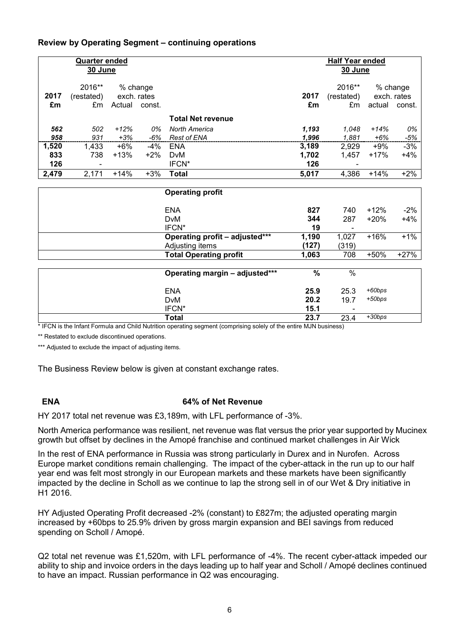|       | <b>Quarter ended</b><br><b>30 June</b> |        |             |                                | Half Year ended<br><b>30 June</b> |            |          |             |
|-------|----------------------------------------|--------|-------------|--------------------------------|-----------------------------------|------------|----------|-------------|
|       | 2016**                                 |        | % change    |                                |                                   | 2016**     |          | % change    |
| 2017  | (restated)                             |        | exch. rates |                                | 2017                              | (restated) |          | exch. rates |
| £m    | £m                                     | Actual | const.      |                                | £m                                | £m         | actual   | const.      |
|       |                                        |        |             | <b>Total Net revenue</b>       |                                   |            |          |             |
| 562   | 502                                    | $+12%$ | 0%          | <b>North America</b>           | 1,193                             | 1,048      | $+14%$   | 0%          |
| 958   | 931                                    | $+3%$  | -6%         | <b>Rest of ENA</b>             | 1,996                             | 1,881      | $+6%$    | -5%         |
| 1,520 | 1,433                                  | $+6%$  | -4%         | <b>ENA</b>                     | 3,189                             | 2,929      | $+9%$    | $-3%$       |
| 833   | 738                                    | $+13%$ | $+2%$       | <b>DvM</b>                     | 1,702                             | 1,457      | $+17%$   | $+4%$       |
| 126   | $\blacksquare$                         |        |             | IFCN*                          | 126                               |            |          |             |
| 2,479 | 2,171                                  | $+14%$ | $+3%$       | <b>Total</b>                   | 5,017                             | 4,386      | $+14%$   | $+2%$       |
|       |                                        |        |             | <b>Operating profit</b>        |                                   |            |          |             |
|       |                                        |        |             | <b>ENA</b>                     | 827                               | 740        | $+12%$   | $-2%$       |
|       |                                        |        |             | <b>DvM</b>                     | 344                               | 287        | $+20%$   | $+4%$       |
|       |                                        |        |             | IFCN*                          | 19                                |            |          |             |
|       |                                        |        |             | Operating profit - adjusted*** | 1,190                             | 1,027      | $+16%$   | $+1%$       |
|       |                                        |        |             | Adjusting items                | (127)                             | (319)      |          |             |
|       |                                        |        |             | <b>Total Operating profit</b>  | 1,063                             | 708        | $+50%$   | $+27%$      |
|       |                                        |        |             | Operating margin - adjusted*** | $\frac{9}{6}$                     | $\%$       |          |             |
|       |                                        |        |             | <b>ENA</b>                     | 25.9                              | 25.3       | $+60bps$ |             |

#### **Review by Operating Segment – continuing operations**

**Total 23.7** 23.4 *+30bps*  \* IFCN is the Infant Formula and Child Nutrition operating segment (comprising solely of the entire MJN business)

\*\* Restated to exclude discontinued operations.

\*\*\* Adjusted to exclude the impact of adjusting items.

The Business Review below is given at constant exchange rates.

#### **ENA 64% of Net Revenue**

HY 2017 total net revenue was £3,189m, with LFL performance of -3%.

North America performance was resilient, net revenue was flat versus the prior year supported by Mucinex growth but offset by declines in the Amopé franchise and continued market challenges in Air Wick

DvM **20.2** 19.7 *+50bps* 

IFCN\* **15.1** -

In the rest of ENA performance in Russia was strong particularly in Durex and in Nurofen. Across Europe market conditions remain challenging. The impact of the cyber-attack in the run up to our half year end was felt most strongly in our European markets and these markets have been significantly impacted by the decline in Scholl as we continue to lap the strong sell in of our Wet & Dry initiative in H1 2016.

HY Adjusted Operating Profit decreased -2% (constant) to £827m; the adjusted operating margin increased by +60bps to 25.9% driven by gross margin expansion and BEI savings from reduced spending on Scholl / Amopé.

Q2 total net revenue was £1,520m, with LFL performance of -4%. The recent cyber-attack impeded our ability to ship and invoice orders in the days leading up to half year and Scholl / Amopé declines continued to have an impact. Russian performance in Q2 was encouraging.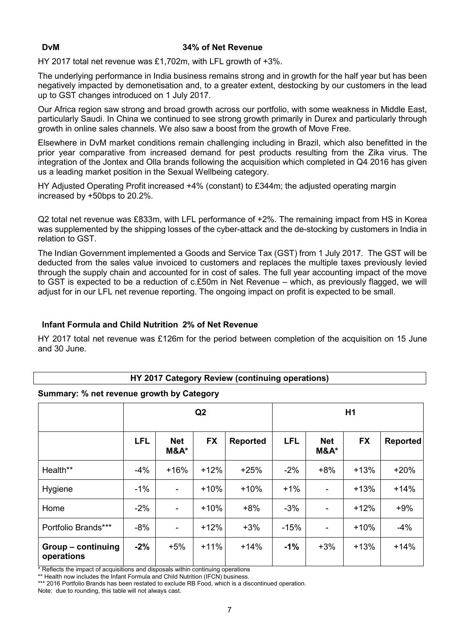#### **DvM 34% of Net Revenue**

HY 2017 total net revenue was £1,702m, with LFL growth of +3%.

The underlying performance in India business remains strong and in growth for the half year but has been negatively impacted by demonetisation and, to a greater extent, destocking by our customers in the lead up to GST changes introduced on 1 July 2017.

Our Africa region saw strong and broad growth across our portfolio, with some weakness in Middle East, particularly Saudi. In China we continued to see strong growth primarily in Durex and particularly through growth in online sales channels. We also saw a boost from the growth of Move Free.

Elsewhere in DvM market conditions remain challenging including in Brazil, which also benefitted in the prior year comparative from increased demand for pest products resulting from the Zika virus. The integration of the Jontex and Olla brands following the acquisition which completed in Q4 2016 has given us a leading market position in the Sexual Wellbeing category.

HY Adjusted Operating Profit increased +4% (constant) to £344m; the adjusted operating margin increased by +50bps to 20.2%.

Q2 total net revenue was £833m, with LFL performance of +2%. The remaining impact from HS in Korea was supplemented by the shipping losses of the cyber-attack and the de-stocking by customers in India in relation to GST.

The Indian Government implemented a Goods and Service Tax (GST) from 1 July 2017. The GST will be deducted from the sales value invoiced to customers and replaces the multiple taxes previously levied through the supply chain and accounted for in cost of sales. The full year accounting impact of the move to GST is expected to be a reduction of c.£50m in Net Revenue – which, as previously flagged, we will adjust for in our LFL net revenue reporting. The ongoing impact on profit is expected to be small.

#### **Infant Formula and Child Nutrition 2% of Net Revenue**

HY 2017 total net revenue was £126m for the period between completion of the acquisition on 15 June and 30 June.

#### **HY 2017 Category Review (continuing operations)**

#### **Summary: % net revenue growth by Category**

|                                  | Q2         |                               |           |                 |            | H1                            |           |                 |  |
|----------------------------------|------------|-------------------------------|-----------|-----------------|------------|-------------------------------|-----------|-----------------|--|
|                                  | <b>LFL</b> | <b>Net</b><br><b>M&amp;A*</b> | <b>FX</b> | <b>Reported</b> | <b>LFL</b> | <b>Net</b><br><b>M&amp;A*</b> | <b>FX</b> | <b>Reported</b> |  |
| Health**                         | $-4%$      | $+16%$                        | $+12%$    | $+25%$          | $-2%$      | $+8%$                         | $+13%$    | $+20%$          |  |
| Hygiene                          | $-1%$      | $\blacksquare$                | $+10%$    | $+10%$          | $+1%$      |                               | $+13%$    | $+14%$          |  |
| Home                             | $-2%$      | -                             | $+10%$    | $+8%$           | $-3%$      |                               | $+12%$    | $+9%$           |  |
| Portfolio Brands***              | $-8%$      | $\blacksquare$                | $+12%$    | $+3%$           | $-15%$     |                               | $+10%$    | $-4%$           |  |
| Group - continuing<br>operations | $-2%$      | $+5%$                         | $+11%$    | $+14%$          | $-1%$      | $+3%$                         | $+13%$    | $+14%$          |  |

\* Reflects the impact of acquisitions and disposals within continuing operations

\*\* Health now includes the Infant Formula and Child Nutrition (IFCN) business.

\*\*\* 2016 Portfolio Brands has been restated to exclude RB Food, which is a discontinued operation.

Note: due to rounding, this table will not always cast.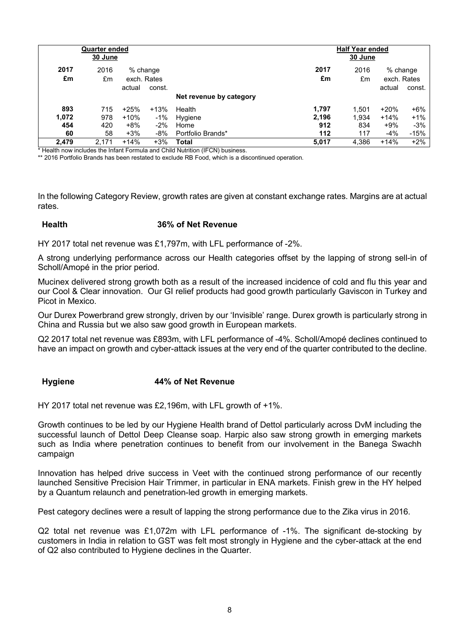|       | <b>Quarter ended</b> |        |             |                         |       | <b>Half Year ended</b> |             |        |
|-------|----------------------|--------|-------------|-------------------------|-------|------------------------|-------------|--------|
|       | 30 June              |        |             |                         |       | 30 June                |             |        |
|       |                      |        |             |                         |       |                        |             |        |
| 2017  | 2016                 |        | % change    |                         | 2017  | 2016                   | % change    |        |
|       |                      |        |             |                         |       |                        |             |        |
| £m    | £m                   |        | exch. Rates |                         | £m    | £m                     | exch. Rates |        |
|       |                      | actual | const.      |                         |       |                        | actual      | const. |
|       |                      |        |             |                         |       |                        |             |        |
|       |                      |        |             | Net revenue by category |       |                        |             |        |
| 893   | 715                  | $+25%$ | $+13%$      | Health                  | 1.797 | 1.501                  | $+20%$      | +6%    |
| 1,072 | 978                  | $+10%$ | $-1%$       | Hygiene                 | 2,196 | 1.934                  | $+14%$      | $+1\%$ |
| 454   | 420                  | $+8%$  | $-2%$       | Home                    | 912   | 834                    | $+9%$       | $-3%$  |
| 60    | 58                   | $+3%$  | $-8%$       | Portfolio Brands*       | 112   | 117                    | $-4%$       | $-15%$ |
| 2,479 | 2.171                | $+14%$ | $+3%$       | Total                   | 5,017 | 4,386                  | $+14%$      | $+2\%$ |

\* Health now includes the Infant Formula and Child Nutrition (IFCN) business.

\*\* 2016 Portfolio Brands has been restated to exclude RB Food, which is a discontinued operation.

In the following Category Review, growth rates are given at constant exchange rates. Margins are at actual rates.

#### **Health 36% of Net Revenue**

HY 2017 total net revenue was £1,797m, with LFL performance of -2%.

A strong underlying performance across our Health categories offset by the lapping of strong sell-in of Scholl/Amopé in the prior period.

Mucinex delivered strong growth both as a result of the increased incidence of cold and flu this year and our Cool & Clear innovation. Our GI relief products had good growth particularly Gaviscon in Turkey and Picot in Mexico.

Our Durex Powerbrand grew strongly, driven by our 'Invisible' range. Durex growth is particularly strong in China and Russia but we also saw good growth in European markets.

Q2 2017 total net revenue was £893m, with LFL performance of -4%. Scholl/Amopé declines continued to have an impact on growth and cyber-attack issues at the very end of the quarter contributed to the decline.

#### **Hygiene 44% of Net Revenue**

HY 2017 total net revenue was £2,196m, with LFL growth of +1%.

Growth continues to be led by our Hygiene Health brand of Dettol particularly across DvM including the successful launch of Dettol Deep Cleanse soap. Harpic also saw strong growth in emerging markets such as India where penetration continues to benefit from our involvement in the Banega Swachh campaign

Innovation has helped drive success in Veet with the continued strong performance of our recently launched Sensitive Precision Hair Trimmer, in particular in ENA markets. Finish grew in the HY helped by a Quantum relaunch and penetration-led growth in emerging markets.

Pest category declines were a result of lapping the strong performance due to the Zika virus in 2016.

Q2 total net revenue was £1,072m with LFL performance of -1%. The significant de-stocking by customers in India in relation to GST was felt most strongly in Hygiene and the cyber-attack at the end of Q2 also contributed to Hygiene declines in the Quarter.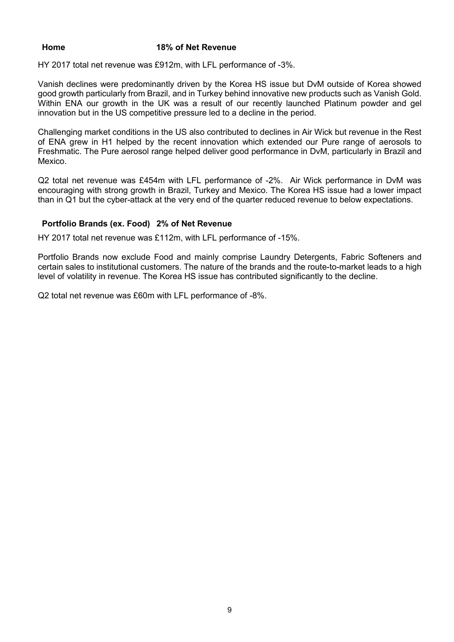#### **Home 18% of Net Revenue**

HY 2017 total net revenue was £912m, with LFL performance of -3%.

Vanish declines were predominantly driven by the Korea HS issue but DvM outside of Korea showed good growth particularly from Brazil, and in Turkey behind innovative new products such as Vanish Gold. Within ENA our growth in the UK was a result of our recently launched Platinum powder and gel innovation but in the US competitive pressure led to a decline in the period.

Challenging market conditions in the US also contributed to declines in Air Wick but revenue in the Rest of ENA grew in H1 helped by the recent innovation which extended our Pure range of aerosols to Freshmatic. The Pure aerosol range helped deliver good performance in DvM, particularly in Brazil and Mexico.

Q2 total net revenue was £454m with LFL performance of -2%. Air Wick performance in DvM was encouraging with strong growth in Brazil, Turkey and Mexico. The Korea HS issue had a lower impact than in Q1 but the cyber-attack at the very end of the quarter reduced revenue to below expectations.

#### **Portfolio Brands (ex. Food) 2% of Net Revenue**

HY 2017 total net revenue was £112m, with LFL performance of -15%.

Portfolio Brands now exclude Food and mainly comprise Laundry Detergents, Fabric Softeners and certain sales to institutional customers. The nature of the brands and the route-to-market leads to a high level of volatility in revenue. The Korea HS issue has contributed significantly to the decline.

Q2 total net revenue was £60m with LFL performance of -8%.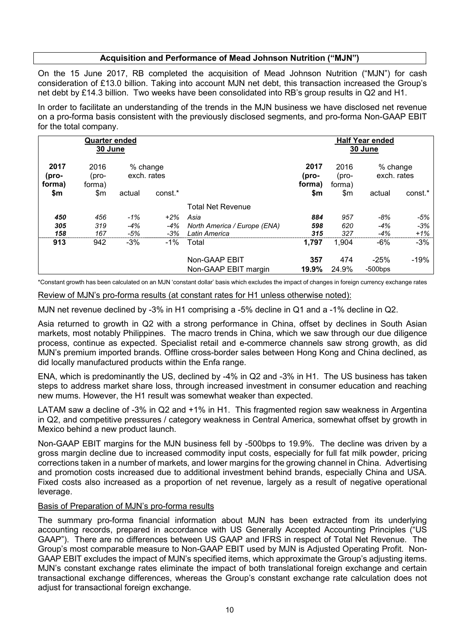#### **Acquisition and Performance of Mead Johnson Nutrition ("MJN")**

On the 15 June 2017, RB completed the acquisition of Mead Johnson Nutrition ("MJN") for cash consideration of £13.0 billion. Taking into account MJN net debt, this transaction increased the Group's net debt by £14.3 billion. Two weeks have been consolidated into RB's group results in Q2 and H1.

In order to facilitate an understanding of the trends in the MJN business we have disclosed net revenue on a pro-forma basis consistent with the previously disclosed segments, and pro-forma Non-GAAP EBIT for the total company.

|                         | <b>Quarter ended</b><br>30 June |                         | <b>Half Year ended</b><br>30 June |                                       |                         |                            |                         |         |
|-------------------------|---------------------------------|-------------------------|-----------------------------------|---------------------------------------|-------------------------|----------------------------|-------------------------|---------|
| 2017<br>(pro-<br>forma) | 2016<br>(pro-<br>forma)         | % change<br>exch. rates |                                   |                                       | 2017<br>(pro-<br>forma) | 2016<br>$($ pro-<br>forma) | % change<br>exch. rates |         |
| \$m                     | \$m                             | actual                  | const.*                           |                                       | \$m                     | \$m                        | actual                  | const.* |
|                         |                                 |                         |                                   | <b>Total Net Revenue</b>              |                         |                            |                         |         |
| 450                     | 456                             | $-1%$                   | $+2%$                             | Asia                                  | 884                     | 957                        | -8%                     | -5%     |
| 305                     | 319                             | $-4%$                   | $-4%$                             | North America / Europe (ENA)          | 598                     | 620                        | $-4%$                   | -3%     |
| 158                     | 167                             | -5%                     | $-3%$                             | Latin America                         | 315                     | 327                        | $-4%$                   | $+1%$   |
| 913                     | 942                             | $-3%$                   | $-1\%$                            | Total                                 | 1,797                   | 1,904                      | -6%                     | $-3%$   |
|                         |                                 |                         |                                   | Non-GAAP EBIT<br>Non-GAAP EBIT margin | 357<br>19.9%            | 474<br>24.9%               | $-25%$<br>$-500$ bps    | $-19%$  |

\*Constant growth has been calculated on an MJN 'constant dollar' basis which excludes the impact of changes in foreign currency exchange rates

Review of MJN's pro-forma results (at constant rates for H1 unless otherwise noted):

MJN net revenue declined by -3% in H1 comprising a -5% decline in Q1 and a -1% decline in Q2.

Asia returned to growth in Q2 with a strong performance in China, offset by declines in South Asian markets, most notably Philippines. The macro trends in China, which we saw through our due diligence process, continue as expected. Specialist retail and e-commerce channels saw strong growth, as did MJN's premium imported brands. Offline cross-border sales between Hong Kong and China declined, as did locally manufactured products within the Enfa range.

ENA, which is predominantly the US, declined by -4% in Q2 and -3% in H1. The US business has taken steps to address market share loss, through increased investment in consumer education and reaching new mums. However, the H1 result was somewhat weaker than expected.

LATAM saw a decline of -3% in Q2 and +1% in H1. This fragmented region saw weakness in Argentina in Q2, and competitive pressures / category weakness in Central America, somewhat offset by growth in Mexico behind a new product launch.

Non-GAAP EBIT margins for the MJN business fell by -500bps to 19.9%. The decline was driven by a gross margin decline due to increased commodity input costs, especially for full fat milk powder, pricing corrections taken in a number of markets, and lower margins for the growing channel in China. Advertising and promotion costs increased due to additional investment behind brands, especially China and USA. Fixed costs also increased as a proportion of net revenue, largely as a result of negative operational leverage.

#### Basis of Preparation of MJN's pro-forma results

The summary pro-forma financial information about MJN has been extracted from its underlying accounting records, prepared in accordance with US Generally Accepted Accounting Principles ("US GAAP"). There are no differences between US GAAP and IFRS in respect of Total Net Revenue. The Group's most comparable measure to Non-GAAP EBIT used by MJN is Adjusted Operating Profit. Non-GAAP EBIT excludes the impact of MJN's specified items, which approximate the Group's adjusting items. MJN's constant exchange rates eliminate the impact of both translational foreign exchange and certain transactional exchange differences, whereas the Group's constant exchange rate calculation does not adjust for transactional foreign exchange.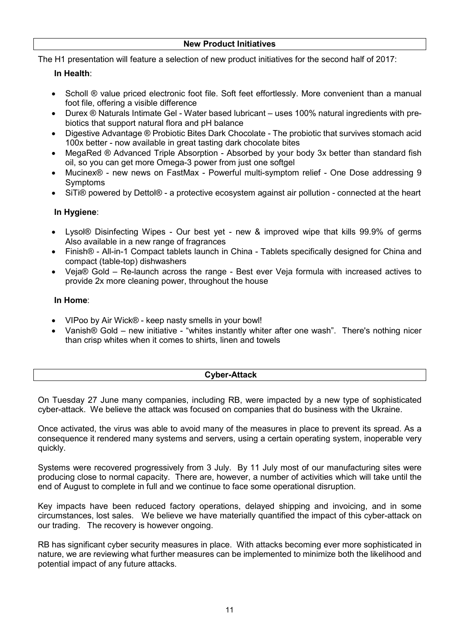The H1 presentation will feature a selection of new product initiatives for the second half of 2017:

### **In Health**:

- Scholl ® value priced electronic foot file. Soft feet effortlessly. More convenient than a manual foot file, offering a visible difference
- Durex ® Naturals Intimate Gel Water based lubricant uses 100% natural ingredients with prebiotics that support natural flora and pH balance
- Digestive Advantage ® Probiotic Bites Dark Chocolate The probiotic that survives stomach acid 100x better - now available in great tasting dark chocolate bites
- MegaRed ® Advanced Triple Absorption Absorbed by your body 3x better than standard fish oil, so you can get more Omega-3 power from just one softgel
- Mucinex® new news on FastMax Powerful multi-symptom relief One Dose addressing 9 **Symptoms**
- SiTi® powered by Dettol® a protective ecosystem against air pollution connected at the heart

#### **In Hygiene**:

- Lysol® Disinfecting Wipes Our best yet new & improved wipe that kills 99.9% of germs Also available in a new range of fragrances
- Finish® All-in-1 Compact tablets launch in China Tablets specifically designed for China and compact (table-top) dishwashers
- Veja® Gold Re-launch across the range Best ever Veja formula with increased actives to provide 2x more cleaning power, throughout the house

#### **In Home**:

- VIPoo by Air Wick® keep nasty smells in your bowl!
- Vanish® Gold new initiative "whites instantly whiter after one wash". There's nothing nicer than crisp whites when it comes to shirts, linen and towels

#### **Cyber-Attack**

On Tuesday 27 June many companies, including RB, were impacted by a new type of sophisticated cyber-attack. We believe the attack was focused on companies that do business with the Ukraine.

Once activated, the virus was able to avoid many of the measures in place to prevent its spread. As a consequence it rendered many systems and servers, using a certain operating system, inoperable very quickly.

Systems were recovered progressively from 3 July. By 11 July most of our manufacturing sites were producing close to normal capacity. There are, however, a number of activities which will take until the end of August to complete in full and we continue to face some operational disruption.

Key impacts have been reduced factory operations, delayed shipping and invoicing, and in some circumstances, lost sales. We believe we have materially quantified the impact of this cyber-attack on our trading. The recovery is however ongoing.

RB has significant cyber security measures in place. With attacks becoming ever more sophisticated in nature, we are reviewing what further measures can be implemented to minimize both the likelihood and potential impact of any future attacks.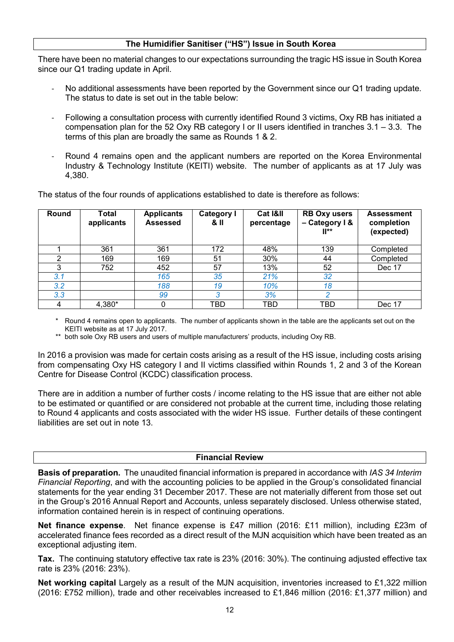#### **The Humidifier Sanitiser ("HS") Issue in South Korea**

There have been no material changes to our expectations surrounding the tragic HS issue in South Korea since our Q1 trading update in April.

- No additional assessments have been reported by the Government since our Q1 trading update. The status to date is set out in the table below:
- Following a consultation process with currently identified Round 3 victims, Oxy RB has initiated a compensation plan for the 52 Oxy RB category I or II users identified in tranches 3.1 – 3.3. The terms of this plan are broadly the same as Rounds 1 & 2.
- Round 4 remains open and the applicant numbers are reported on the Korea Environmental Industry & Technology Institute (KEITI) website. The number of applicants as at 17 July was 4,380.

The status of the four rounds of applications established to date is therefore as follows:

| <b>Round</b>   | Total<br>applicants | <b>Applicants</b><br><b>Assessed</b> | Category I<br>& II | Cat I&II<br>percentage | <b>RB Oxy users</b><br>- Category I &<br>$\mathbb{I}^{**}$ | <b>Assessment</b><br>completion<br>(expected) |
|----------------|---------------------|--------------------------------------|--------------------|------------------------|------------------------------------------------------------|-----------------------------------------------|
|                | 361                 | 361                                  | 172                | 48%                    | 139                                                        | Completed                                     |
| $\overline{2}$ | 169                 | 169                                  | 51                 | 30%                    | 44                                                         | Completed                                     |
| 3              | 752                 | 452                                  | 57                 | 13%                    | 52                                                         | Dec 17                                        |
| 3.1            |                     | 165                                  | 35                 | 21%                    | 32                                                         |                                               |
| 3.2            |                     | 188                                  | 19                 | 10%                    | 18                                                         |                                               |
| 3.3            |                     | 99                                   | 3                  | 3%                     | 2                                                          |                                               |
| 4              | 4,380*              | 0                                    | TBD                | TBD                    | TBD                                                        | Dec 17                                        |

\* Round 4 remains open to applicants. The number of applicants shown in the table are the applicants set out on the KEITI website as at 17 July 2017.

\*\* both sole Oxy RB users and users of multiple manufacturers' products, including Oxy RB.

In 2016 a provision was made for certain costs arising as a result of the HS issue, including costs arising from compensating Oxy HS category I and II victims classified within Rounds 1, 2 and 3 of the Korean Centre for Disease Control (KCDC) classification process.

There are in addition a number of further costs / income relating to the HS issue that are either not able to be estimated or quantified or are considered not probable at the current time, including those relating to Round 4 applicants and costs associated with the wider HS issue. Further details of these contingent liabilities are set out in note 13.

#### **Financial Review**

**Basis of preparation.** The unaudited financial information is prepared in accordance with *IAS 34 Interim Financial Reporting*, and with the accounting policies to be applied in the Group's consolidated financial statements for the year ending 31 December 2017. These are not materially different from those set out in the Group's 2016 Annual Report and Accounts, unless separately disclosed. Unless otherwise stated, information contained herein is in respect of continuing operations.

**Net finance expense**. Net finance expense is £47 million (2016: £11 million), including £23m of accelerated finance fees recorded as a direct result of the MJN acquisition which have been treated as an exceptional adjusting item.

**Tax.** The continuing statutory effective tax rate is 23% (2016: 30%). The continuing adjusted effective tax rate is 23% (2016: 23%).

**Net working capital** Largely as a result of the MJN acquisition, inventories increased to £1,322 million (2016: £752 million), trade and other receivables increased to £1,846 million (2016: £1,377 million) and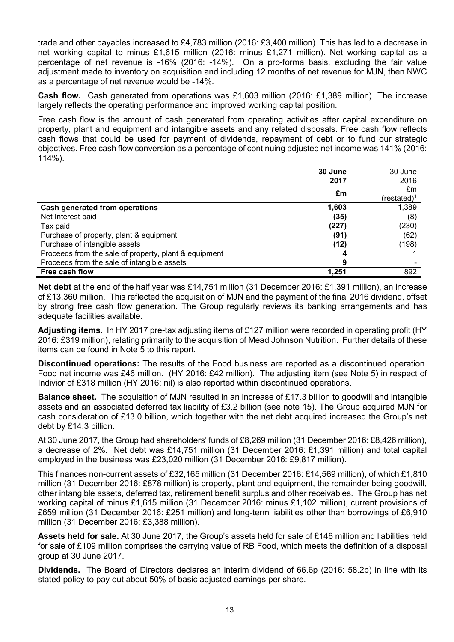trade and other payables increased to £4,783 million (2016: £3,400 million). This has led to a decrease in net working capital to minus £1,615 million (2016: minus £1,271 million). Net working capital as a percentage of net revenue is -16% (2016: -14%). On a pro-forma basis, excluding the fair value adjustment made to inventory on acquisition and including 12 months of net revenue for MJN, then NWC as a percentage of net revenue would be -14%.

**Cash flow.** Cash generated from operations was £1,603 million (2016: £1,389 million). The increase largely reflects the operating performance and improved working capital position.

Free cash flow is the amount of cash generated from operating activities after capital expenditure on property, plant and equipment and intangible assets and any related disposals. Free cash flow reflects cash flows that could be used for payment of dividends, repayment of debt or to fund our strategic objectives. Free cash flow conversion as a percentage of continuing adjusted net income was 141% (2016: 114%).

|                                                       | 30 June<br>2017 | 30 June<br>2016               |
|-------------------------------------------------------|-----------------|-------------------------------|
|                                                       | £m              | £m<br>(restated) <sup>1</sup> |
| Cash generated from operations                        | 1,603           | 1,389                         |
| Net Interest paid                                     | (35)            | (8)                           |
| Tax paid                                              | (227)           | (230)                         |
| Purchase of property, plant & equipment               | (91)            | (62)                          |
| Purchase of intangible assets                         | (12)            | (198)                         |
| Proceeds from the sale of property, plant & equipment |                 |                               |
| Proceeds from the sale of intangible assets           | 9               |                               |
| Free cash flow                                        | 1,251           | 892                           |

**Net debt** at the end of the half year was £14,751 million (31 December 2016: £1,391 million), an increase of £13,360 million. This reflected the acquisition of MJN and the payment of the final 2016 dividend, offset by strong free cash flow generation. The Group regularly reviews its banking arrangements and has adequate facilities available.

**Adjusting items.** In HY 2017 pre-tax adjusting items of £127 million were recorded in operating profit (HY 2016: £319 million), relating primarily to the acquisition of Mead Johnson Nutrition. Further details of these items can be found in Note 5 to this report.

**Discontinued operations:** The results of the Food business are reported as a discontinued operation. Food net income was £46 million. (HY 2016: £42 million). The adjusting item (see Note 5) in respect of Indivior of £318 million (HY 2016: nil) is also reported within discontinued operations.

**Balance sheet.** The acquisition of MJN resulted in an increase of £17.3 billion to goodwill and intangible assets and an associated deferred tax liability of £3.2 billion (see note 15). The Group acquired MJN for cash consideration of £13.0 billion, which together with the net debt acquired increased the Group's net debt by £14.3 billion.

At 30 June 2017, the Group had shareholders' funds of £8,269 million (31 December 2016: £8,426 million), a decrease of 2%. Net debt was £14,751 million (31 December 2016: £1,391 million) and total capital employed in the business was £23,020 million (31 December 2016: £9,817 million).

This finances non-current assets of £32,165 million (31 December 2016: £14,569 million), of which £1,810 million (31 December 2016: £878 million) is property, plant and equipment, the remainder being goodwill, other intangible assets, deferred tax, retirement benefit surplus and other receivables. The Group has net working capital of minus £1,615 million (31 December 2016: minus £1,102 million), current provisions of £659 million (31 December 2016: £251 million) and long-term liabilities other than borrowings of £6,910 million (31 December 2016: £3,388 million).

**Assets held for sale.** At 30 June 2017, the Group's assets held for sale of £146 million and liabilities held for sale of £109 million comprises the carrying value of RB Food, which meets the definition of a disposal group at 30 June 2017.

**Dividends.** The Board of Directors declares an interim dividend of 66.6p (2016: 58.2p) in line with its stated policy to pay out about 50% of basic adjusted earnings per share.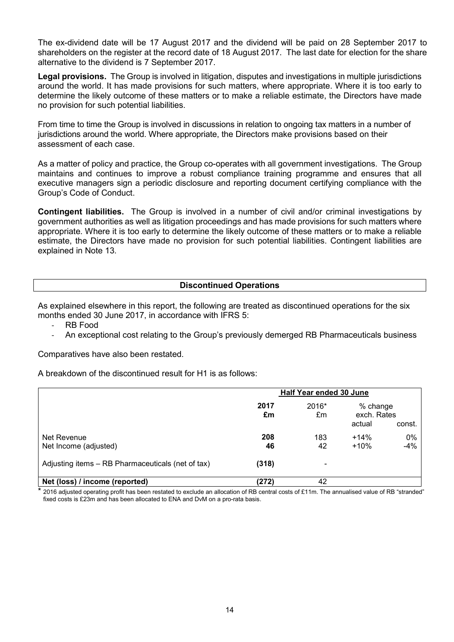The ex-dividend date will be 17 August 2017 and the dividend will be paid on 28 September 2017 to shareholders on the register at the record date of 18 August 2017. The last date for election for the share alternative to the dividend is 7 September 2017.

**Legal provisions.** The Group is involved in litigation, disputes and investigations in multiple jurisdictions around the world. It has made provisions for such matters, where appropriate. Where it is too early to determine the likely outcome of these matters or to make a reliable estimate, the Directors have made no provision for such potential liabilities.

From time to time the Group is involved in discussions in relation to ongoing tax matters in a number of jurisdictions around the world. Where appropriate, the Directors make provisions based on their assessment of each case.

As a matter of policy and practice, the Group co-operates with all government investigations. The Group maintains and continues to improve a robust compliance training programme and ensures that all executive managers sign a periodic disclosure and reporting document certifying compliance with the Group's Code of Conduct.

**Contingent liabilities.** The Group is involved in a number of civil and/or criminal investigations by government authorities as well as litigation proceedings and has made provisions for such matters where appropriate. Where it is too early to determine the likely outcome of these matters or to make a reliable estimate, the Directors have made no provision for such potential liabilities. Contingent liabilities are explained in Note 13.

#### **Discontinued Operations**

As explained elsewhere in this report, the following are treated as discontinued operations for the six months ended 30 June 2017, in accordance with IFRS 5:

- RB Food
- An exceptional cost relating to the Group's previously demerged RB Pharmaceuticals business

Comparatives have also been restated.

A breakdown of the discontinued result for H1 is as follows:

|                                                   | Half Year ended 30 June   |                          |                         |        |  |  |
|---------------------------------------------------|---------------------------|--------------------------|-------------------------|--------|--|--|
|                                                   | 2016*<br>2017<br>£m<br>£m |                          | % change<br>exch. Rates |        |  |  |
|                                                   |                           |                          | actual                  | const. |  |  |
| Net Revenue                                       | 208                       | 183                      | $+14%$                  | 0%     |  |  |
| Net Income (adjusted)                             | 46                        | 42                       | $+10%$                  | $-4%$  |  |  |
| Adjusting items - RB Pharmaceuticals (net of tax) | (318)                     | $\overline{\phantom{0}}$ |                         |        |  |  |
| Net (loss) / income (reported)                    | (272)                     | 42                       |                         |        |  |  |

\* 2016 adjusted operating profit has been restated to exclude an allocation of RB central costs of £11m. The annualised value of RB "stranded" fixed costs is £23m and has been allocated to ENA and DvM on a pro-rata basis.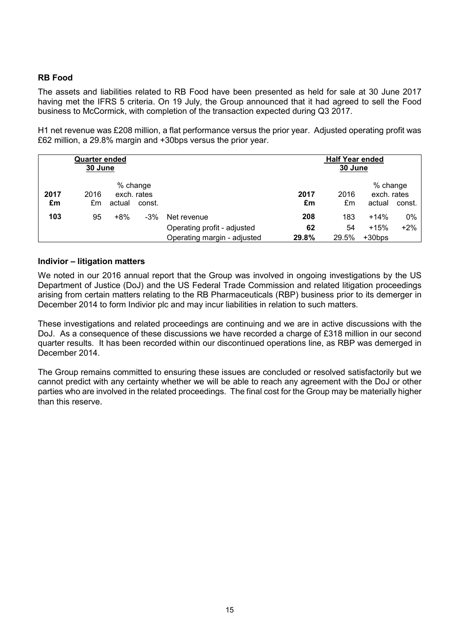#### **RB Food**

The assets and liabilities related to RB Food have been presented as held for sale at 30 June 2017 having met the IFRS 5 criteria. On 19 July, the Group announced that it had agreed to sell the Food business to McCormick, with completion of the transaction expected during Q3 2017.

H1 net revenue was £208 million, a flat performance versus the prior year. Adjusted operating profit was £62 million, a 29.8% margin and +30bps versus the prior year.

|            | <b>Quarter ended</b><br>30 June |        |                                   | <b>Half Year ended</b><br>30 June                                         |                    |                    |                                   |             |
|------------|---------------------------------|--------|-----------------------------------|---------------------------------------------------------------------------|--------------------|--------------------|-----------------------------------|-------------|
| 2017<br>£m | 2016<br>£m                      | actual | % change<br>exch. rates<br>const. |                                                                           | 2017<br>£m         | 2016<br>£m         | % change<br>exch. rates<br>actual | const.      |
| 103        | 95                              | $+8%$  | $-3%$                             | Net revenue<br>Operating profit - adjusted<br>Operating margin - adjusted | 208<br>62<br>29.8% | 183<br>54<br>29.5% | $+14%$<br>$+15%$<br>$+30$ bps     | 0%<br>$+2%$ |

#### **Indivior – litigation matters**

We noted in our 2016 annual report that the Group was involved in ongoing investigations by the US Department of Justice (DoJ) and the US Federal Trade Commission and related litigation proceedings arising from certain matters relating to the RB Pharmaceuticals (RBP) business prior to its demerger in December 2014 to form Indivior plc and may incur liabilities in relation to such matters.

These investigations and related proceedings are continuing and we are in active discussions with the DoJ. As a consequence of these discussions we have recorded a charge of £318 million in our second quarter results. It has been recorded within our discontinued operations line, as RBP was demerged in December 2014.

The Group remains committed to ensuring these issues are concluded or resolved satisfactorily but we cannot predict with any certainty whether we will be able to reach any agreement with the DoJ or other parties who are involved in the related proceedings. The final cost for the Group may be materially higher than this reserve.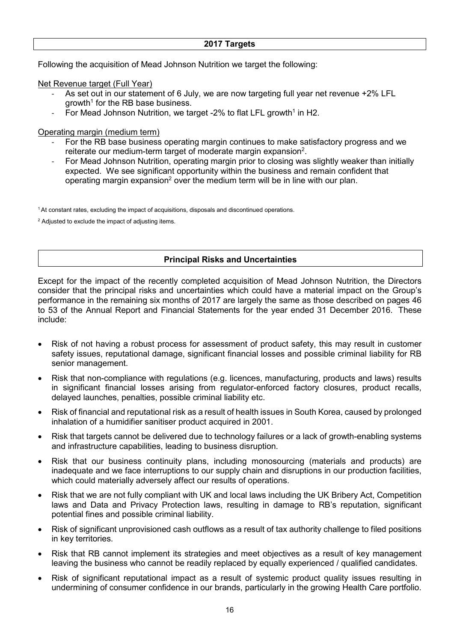#### **2017 Targets**

Following the acquisition of Mead Johnson Nutrition we target the following:

#### Net Revenue target (Full Year)

- As set out in our statement of 6 July, we are now targeting full year net revenue +2% LFL growth<sup>1</sup> for the RB base business.
- For Mead Johnson Nutrition, we target -2% to flat LFL growth<sup>1</sup> in H2.

Operating margin (medium term)

- For the RB base business operating margin continues to make satisfactory progress and we reiterate our medium-term target of moderate margin expansion<sup>2</sup>.
- For Mead Johnson Nutrition, operating margin prior to closing was slightly weaker than initially expected. We see significant opportunity within the business and remain confident that operating margin expansion<sup>2</sup> over the medium term will be in line with our plan.

<sup>1</sup>At constant rates, excluding the impact of acquisitions, disposals and discontinued operations.

<sup>2</sup> Adjusted to exclude the impact of adjusting items.

#### **Principal Risks and Uncertainties**

Except for the impact of the recently completed acquisition of Mead Johnson Nutrition, the Directors consider that the principal risks and uncertainties which could have a material impact on the Group's performance in the remaining six months of 2017 are largely the same as those described on pages 46 to 53 of the Annual Report and Financial Statements for the year ended 31 December 2016. These include:

- Risk of not having a robust process for assessment of product safety, this may result in customer safety issues, reputational damage, significant financial losses and possible criminal liability for RB senior management.
- Risk that non-compliance with regulations (e.g. licences, manufacturing, products and laws) results in significant financial losses arising from regulator-enforced factory closures, product recalls, delayed launches, penalties, possible criminal liability etc.
- Risk of financial and reputational risk as a result of health issues in South Korea, caused by prolonged inhalation of a humidifier sanitiser product acquired in 2001.
- Risk that targets cannot be delivered due to technology failures or a lack of growth-enabling systems and infrastructure capabilities, leading to business disruption.
- Risk that our business continuity plans, including monosourcing (materials and products) are inadequate and we face interruptions to our supply chain and disruptions in our production facilities, which could materially adversely affect our results of operations.
- Risk that we are not fully compliant with UK and local laws including the UK Bribery Act, Competition laws and Data and Privacy Protection laws, resulting in damage to RB's reputation, significant potential fines and possible criminal liability.
- Risk of significant unprovisioned cash outflows as a result of tax authority challenge to filed positions in key territories.
- Risk that RB cannot implement its strategies and meet objectives as a result of key management leaving the business who cannot be readily replaced by equally experienced / qualified candidates.
- Risk of significant reputational impact as a result of systemic product quality issues resulting in undermining of consumer confidence in our brands, particularly in the growing Health Care portfolio.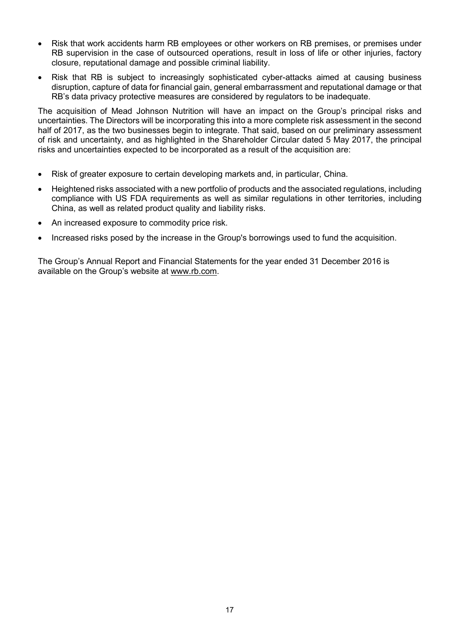- Risk that work accidents harm RB employees or other workers on RB premises, or premises under RB supervision in the case of outsourced operations, result in loss of life or other injuries, factory closure, reputational damage and possible criminal liability.
- Risk that RB is subject to increasingly sophisticated cyber-attacks aimed at causing business disruption, capture of data for financial gain, general embarrassment and reputational damage or that RB's data privacy protective measures are considered by regulators to be inadequate.

The acquisition of Mead Johnson Nutrition will have an impact on the Group's principal risks and uncertainties. The Directors will be incorporating this into a more complete risk assessment in the second half of 2017, as the two businesses begin to integrate. That said, based on our preliminary assessment of risk and uncertainty, and as highlighted in the Shareholder Circular dated 5 May 2017, the principal risks and uncertainties expected to be incorporated as a result of the acquisition are:

- Risk of greater exposure to certain developing markets and, in particular, China.
- Heightened risks associated with a new portfolio of products and the associated regulations, including compliance with US FDA requirements as well as similar regulations in other territories, including China, as well as related product quality and liability risks.
- An increased exposure to commodity price risk.
- Increased risks posed by the increase in the Group's borrowings used to fund the acquisition.

The Group's Annual Report and Financial Statements for the year ended 31 December 2016 is available on the Group's website at www.rb.com.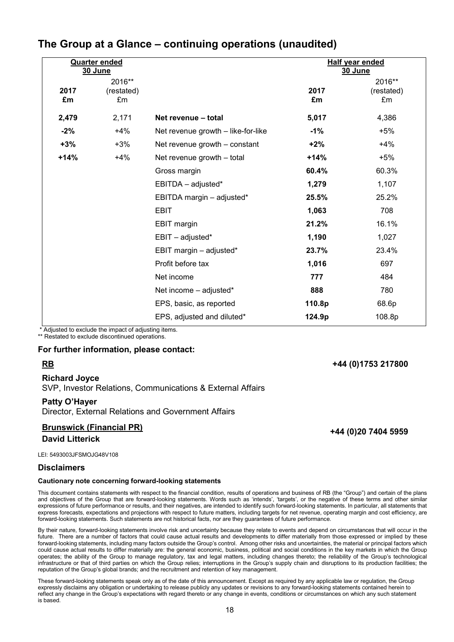|            | <b>Quarter ended</b><br>30 June |                                    |            | <b>Half year ended</b><br>30 June |  |
|------------|---------------------------------|------------------------------------|------------|-----------------------------------|--|
| 2017<br>£m | 2016**<br>(restated)<br>£m      |                                    | 2017<br>£m | 2016**<br>(restated)<br>£m        |  |
| 2,479      | 2,171                           | Net revenue - total                | 5,017      | 4,386                             |  |
| $-2%$      | $+4%$                           | Net revenue growth - like-for-like | $-1%$      | $+5%$                             |  |
| $+3%$      | $+3%$                           | Net revenue growth - constant      | $+2\%$     | $+4%$                             |  |
| $+14%$     | $+4%$                           | Net revenue growth - total         | $+14%$     | $+5%$                             |  |
|            |                                 | Gross margin                       | 60.4%      | 60.3%                             |  |
|            |                                 | EBITDA - adjusted*                 | 1,279      | 1,107                             |  |
|            |                                 | EBITDA margin - adjusted*          | 25.5%      | 25.2%                             |  |
|            |                                 | <b>EBIT</b>                        | 1,063      | 708                               |  |
|            |                                 | <b>EBIT</b> margin                 | 21.2%      | 16.1%                             |  |
|            |                                 | $EBIT - adjusted*$                 | 1,190      | 1,027                             |  |
|            |                                 | EBIT margin - adjusted*            | 23.7%      | 23.4%                             |  |
|            |                                 | Profit before tax                  | 1,016      | 697                               |  |
|            |                                 | Net income                         | 777        | 484                               |  |
|            |                                 | Net income - adjusted*             | 888        | 780                               |  |
|            |                                 | EPS, basic, as reported            | 110.8p     | 68.6p                             |  |
|            |                                 | EPS, adjusted and diluted*         | 124.9p     | 108.8p                            |  |

## **The Group at a Glance – continuing operations (unaudited)**

Adjusted to exclude the impact of adjusting items.

\*\* Restated to exclude discontinued operations.

#### **For further information, please contact:**

#### **RB**

**Richard Joyce**  SVP, Investor Relations, Communications & External Affairs

#### **Patty O'Hayer**

Director, External Relations and Government Affairs

#### **Brunswick (Financial PR)**

#### **David Litterick**

LEI: 5493003JFSMOJG48V108

#### **Disclaimers**

#### **Cautionary note concerning forward-looking statements**

This document contains statements with respect to the financial condition, results of operations and business of RB (the "Group") and certain of the plans and objectives of the Group that are forward-looking statements. Words such as 'intends', 'targets', or the negative of these terms and other similar expressions of future performance or results, and their negatives, are intended to identify such forward-looking statements. In particular, all statements that express forecasts, expectations and projections with respect to future matters, including targets for net revenue, operating margin and cost efficiency, are forward-looking statements. Such statements are not historical facts, nor are they guarantees of future performance.

By their nature, forward-looking statements involve risk and uncertainty because they relate to events and depend on circumstances that will occur in the future. There are a number of factors that could cause actual results and developments to differ materially from those expressed or implied by these forward-looking statements, including many factors outside the Group's control. Among other risks and uncertainties, the material or principal factors which could cause actual results to differ materially are: the general economic, business, political and social conditions in the key markets in which the Group operates; the ability of the Group to manage regulatory, tax and legal matters, including changes thereto; the reliability of the Group's technological infrastructure or that of third parties on which the Group relies; interruptions in the Group's supply chain and disruptions to its production facilities; the reputation of the Group's global brands; and the recruitment and retention of key management.

These forward-looking statements speak only as of the date of this announcement. Except as required by any applicable law or regulation, the Group expressly disclaims any obligation or undertaking to release publicly any updates or revisions to any forward-looking statements contained herein to reflect any change in the Group's expectations with regard thereto or any change in events, conditions or circumstances on which any such statement is based.

#### **+44 (0)20 7404 5959**

 **+44 (0)1753 217800**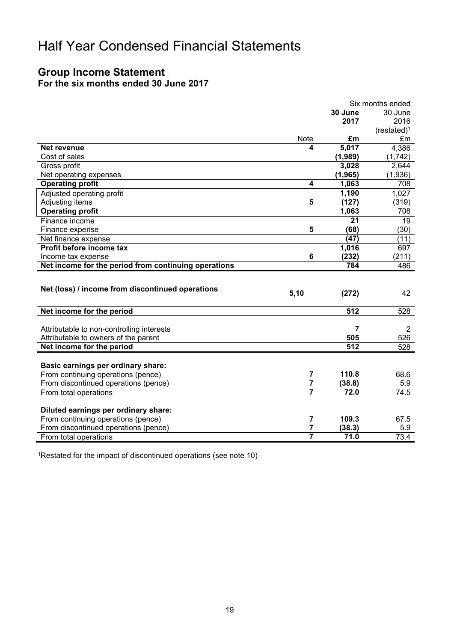# Half Year Condensed Financial Statements

## **Group Income Statement**

**For the six months ended 30 June 2017** 

|                                                               |                         | Six months ended |                |  |
|---------------------------------------------------------------|-------------------------|------------------|----------------|--|
|                                                               |                         | 30 June          | 30 June        |  |
|                                                               |                         | 2017             | 2016           |  |
|                                                               |                         |                  | $(rested)^1$   |  |
|                                                               | <b>Note</b>             | £m               | £m             |  |
| Net revenue                                                   | 4                       | 5,017            | 4,386          |  |
| Cost of sales                                                 |                         | (1,989)          | (1, 742)       |  |
| Gross profit                                                  |                         | 3,028            | 2,644          |  |
| Net operating expenses                                        |                         | (1, 965)         | (1,936)        |  |
| <b>Operating profit</b>                                       | $\overline{\mathbf{4}}$ | 1,063            | 708            |  |
| Adjusted operating profit                                     |                         | 1,190            | 1,027          |  |
| Adjusting items                                               | 5                       | (127)            | (319)          |  |
| <b>Operating profit</b>                                       |                         | 1,063            | 708            |  |
| Finance income                                                |                         | 21               | 19             |  |
| Finance expense                                               | 5                       | (68)             | (30)           |  |
| Net finance expense                                           |                         | (47)             | (11)           |  |
| Profit before income tax                                      |                         | 1,016            | 697            |  |
| Income tax expense                                            | 6                       | (232)            | (211)          |  |
| Net income for the period from continuing operations          |                         | 784              | 486            |  |
|                                                               |                         |                  |                |  |
|                                                               |                         |                  |                |  |
|                                                               |                         |                  |                |  |
| Net (loss) / income from discontinued operations              | 5,10                    | (272)            | 42             |  |
|                                                               |                         |                  |                |  |
| Net income for the period                                     |                         | 512              | 528            |  |
|                                                               |                         |                  |                |  |
| Attributable to non-controlling interests                     |                         | 7                | $\overline{2}$ |  |
| Attributable to owners of the parent                          |                         | 505              | 526            |  |
| Net income for the period                                     |                         | 512              | 528            |  |
|                                                               |                         |                  |                |  |
| Basic earnings per ordinary share:                            |                         |                  |                |  |
| From continuing operations (pence)                            | $\overline{7}$          | 110.8            | 68.6           |  |
| From discontinued operations (pence)                          | 7                       | (38.8)           | 5.9            |  |
| From total operations                                         | $\overline{7}$          | 72.0             | 74.5           |  |
|                                                               |                         |                  |                |  |
| Diluted earnings per ordinary share:                          |                         |                  |                |  |
| From continuing operations (pence)                            | $\overline{7}$          | 109.3            | 67.5           |  |
| From discontinued operations (pence)<br>From total operations | 7                       | (38.3)<br>71.0   | 5.9<br>73.4    |  |

1Restated for the impact of discontinued operations (see note 10)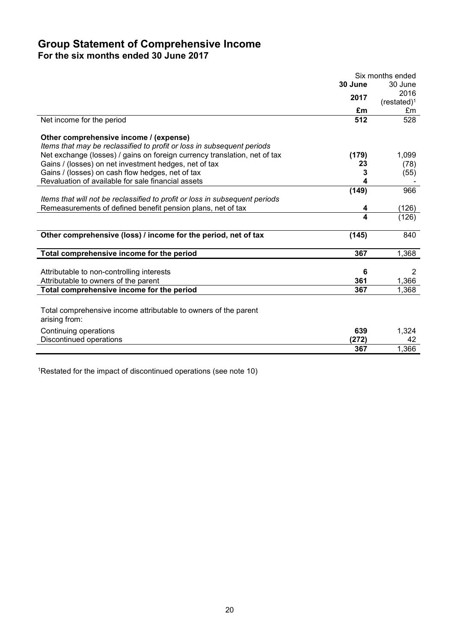## **Group Statement of Comprehensive Income For the six months ended 30 June 2017**

|                                                                                                                  | 30 June | Six months ended<br>30 June |
|------------------------------------------------------------------------------------------------------------------|---------|-----------------------------|
|                                                                                                                  | 2017    | 2016<br>$(rested)^1$        |
|                                                                                                                  | £m      | £m                          |
| Net income for the period                                                                                        | 512     | 528                         |
| Other comprehensive income / (expense)<br>Items that may be reclassified to profit or loss in subsequent periods |         |                             |
| Net exchange (losses) / gains on foreign currency translation, net of tax                                        | (179)   | 1,099                       |
| Gains / (losses) on net investment hedges, net of tax                                                            | 23      | (78)                        |
| Gains / (losses) on cash flow hedges, net of tax                                                                 | 3       | (55)                        |
| Revaluation of available for sale financial assets                                                               | 4       |                             |
|                                                                                                                  | (149)   | 966                         |
| Items that will not be reclassified to profit or loss in subsequent periods                                      |         |                             |
| Remeasurements of defined benefit pension plans, net of tax                                                      | 4       | (126)                       |
|                                                                                                                  | 4       | (126)                       |
| Other comprehensive (loss) / income for the period, net of tax                                                   | (145)   | 840                         |
| Total comprehensive income for the period                                                                        | 367     | 1,368                       |
| Attributable to non-controlling interests                                                                        | 6       | 2                           |
| Attributable to owners of the parent                                                                             | 361     | 1,366                       |
| Total comprehensive income for the period                                                                        | 367     | 1,368                       |
|                                                                                                                  |         |                             |
| Total comprehensive income attributable to owners of the parent<br>arising from:                                 |         |                             |
| Continuing operations                                                                                            | 639     | 1,324                       |
| Discontinued operations                                                                                          | (272)   | 42                          |
|                                                                                                                  | 367     | 1,366                       |
|                                                                                                                  |         |                             |

1Restated for the impact of discontinued operations (see note 10)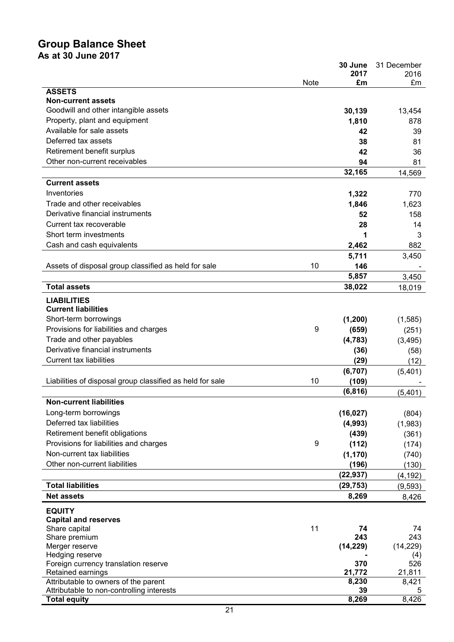## **Group Balance Sheet As at 30 June 2017**

|                                                                  |             | 30 June     | 31 December |
|------------------------------------------------------------------|-------------|-------------|-------------|
|                                                                  | <b>Note</b> | 2017<br>£m  | 2016<br>£m  |
| <b>ASSETS</b>                                                    |             |             |             |
| <b>Non-current assets</b>                                        |             |             |             |
| Goodwill and other intangible assets                             |             | 30,139      | 13,454      |
| Property, plant and equipment                                    |             | 1,810       | 878         |
| Available for sale assets                                        |             | 42          | 39          |
| Deferred tax assets                                              |             | 38          | 81          |
| Retirement benefit surplus                                       |             | 42          | 36          |
| Other non-current receivables                                    |             | 94          | 81          |
|                                                                  |             | 32,165      | 14,569      |
| <b>Current assets</b>                                            |             |             |             |
| Inventories                                                      |             | 1,322       | 770         |
| Trade and other receivables                                      |             | 1,846       | 1,623       |
| Derivative financial instruments                                 |             | 52          | 158         |
| Current tax recoverable                                          |             | 28          | 14          |
| Short term investments                                           |             | 1           | 3           |
| Cash and cash equivalents                                        |             | 2,462       | 882         |
|                                                                  |             | 5,711       | 3,450       |
| Assets of disposal group classified as held for sale             | 10          | 146         |             |
|                                                                  |             | 5,857       | 3,450       |
| <b>Total assets</b>                                              |             | 38,022      | 18,019      |
|                                                                  |             |             |             |
| <b>LIABILITIES</b><br><b>Current liabilities</b>                 |             |             |             |
| Short-term borrowings                                            |             | (1, 200)    | (1,585)     |
| Provisions for liabilities and charges                           | 9           | (659)       | (251)       |
| Trade and other payables                                         |             | (4, 783)    | (3, 495)    |
| Derivative financial instruments                                 |             | (36)        | (58)        |
| <b>Current tax liabilities</b>                                   |             | (29)        | (12)        |
|                                                                  |             | (6, 707)    | (5,401)     |
| Liabilities of disposal group classified as held for sale        | 10          | (109)       |             |
|                                                                  |             | (6, 816)    | (5,401)     |
| <b>Non-current liabilities</b>                                   |             |             |             |
| Long-term borrowings                                             |             | (16, 027)   | (804)       |
| Deferred tax liabilities                                         |             | (4,993)     | (1,983)     |
| Retirement benefit obligations                                   |             | (439)       | (361)       |
| Provisions for liabilities and charges                           | 9           | (112)       | (174)       |
| Non-current tax liabilities                                      |             | (1, 170)    | (740)       |
| Other non-current liabilities                                    |             | (196)       | (130)       |
|                                                                  |             | (22, 937)   | (4, 192)    |
| <b>Total liabilities</b>                                         |             | (29, 753)   | (9, 593)    |
| <b>Net assets</b>                                                |             | 8,269       | 8,426       |
|                                                                  |             |             |             |
| <b>EQUITY</b>                                                    |             |             |             |
| <b>Capital and reserves</b>                                      | 11          | 74          |             |
| Share capital<br>Share premium                                   |             | 243         | 74<br>243   |
| Merger reserve                                                   |             | (14, 229)   | (14, 229)   |
| Hedging reserve                                                  |             |             | (4)         |
| Foreign currency translation reserve                             |             | 370         | 526         |
| Retained earnings                                                |             | 21,772      | 21,811      |
| Attributable to owners of the parent                             |             | 8,230<br>39 | 8,421       |
| Attributable to non-controlling interests<br><b>Total equity</b> |             | 8,269       | 5<br>8,426  |
|                                                                  |             |             |             |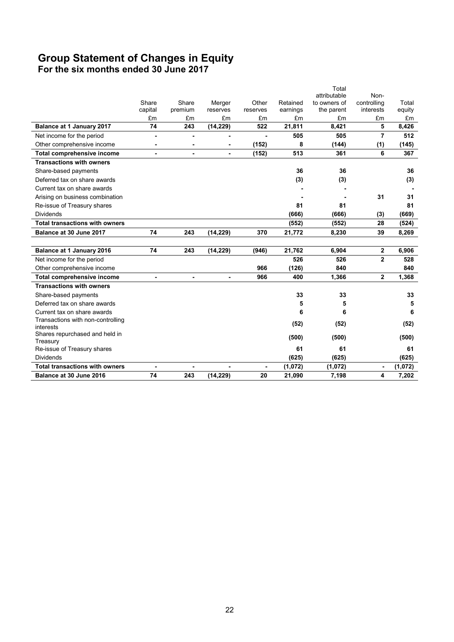## **Group Statement of Changes in Equity For the six months ended 30 June 2017**

|                                            |                |                |                |          |          | Total        |                |         |
|--------------------------------------------|----------------|----------------|----------------|----------|----------|--------------|----------------|---------|
|                                            |                |                |                |          |          | attributable | Non-           |         |
|                                            | Share          | Share          | Merger         | Other    | Retained | to owners of | controlling    | Total   |
|                                            | capital        | premium        | reserves       | reserves | earnings | the parent   | interests      | equity  |
|                                            | £m             | £m             | £m             | £m       | £m       | £m           | £m             | £m      |
| Balance at 1 January 2017                  | 74             | 243            | (14, 229)      | 522      | 21,811   | 8,421        | 5              | 8,426   |
| Net income for the period                  | ä,             | ä,             | ۰              | ä,       | 505      | 505          | $\overline{7}$ | 512     |
| Other comprehensive income                 |                |                |                | (152)    | 8        | (144)        | (1)            | (145)   |
| <b>Total comprehensive income</b>          | ä,             | ä,             | L.             | (152)    | 513      | 361          | 6              | 367     |
| <b>Transactions with owners</b>            |                |                |                |          |          |              |                |         |
| Share-based payments                       |                |                |                |          | 36       | 36           |                | 36      |
| Deferred tax on share awards               |                |                |                |          | (3)      | (3)          |                | (3)     |
| Current tax on share awards                |                |                |                |          |          |              |                |         |
| Arising on business combination            |                |                |                |          |          |              | 31             | 31      |
| Re-issue of Treasury shares                |                |                |                |          | 81       | 81           |                | 81      |
| <b>Dividends</b>                           |                |                |                |          | (666)    | (666)        | (3)            | (669)   |
| <b>Total transactions with owners</b>      |                |                |                |          | (552)    | (552)        | 28             | (524)   |
| Balance at 30 June 2017                    | 74             | 243            | (14, 229)      | 370      | 21,772   | 8,230        | 39             | 8,269   |
|                                            |                |                |                |          |          |              |                |         |
| Balance at 1 January 2016                  | 74             | 243            | (14, 229)      | (946)    | 21,762   | 6,904        | $\overline{2}$ | 6,906   |
| Net income for the period                  |                |                |                |          | 526      | 526          | $\overline{2}$ | 528     |
| Other comprehensive income                 |                |                |                | 966      | (126)    | 840          |                | 840     |
| Total comprehensive income                 | $\blacksquare$ | $\blacksquare$ | $\blacksquare$ | 966      | 400      | 1,366        | $\mathbf{2}$   | 1,368   |
| <b>Transactions with owners</b>            |                |                |                |          |          |              |                |         |
| Share-based payments                       |                |                |                |          | 33       | 33           |                | 33      |
| Deferred tax on share awards               |                |                |                |          | 5        | 5            |                | 5       |
| Current tax on share awards                |                |                |                |          | 6        | 6            |                | 6       |
| Transactions with non-controlling          |                |                |                |          | (52)     | (52)         |                | (52)    |
| interests                                  |                |                |                |          |          |              |                |         |
| Shares repurchased and held in<br>Treasury |                |                |                |          | (500)    | (500)        |                | (500)   |
| Re-issue of Treasury shares                |                |                |                |          | 61       | 61           |                | 61      |
| <b>Dividends</b>                           |                |                |                |          | (625)    | (625)        |                | (625)   |
| <b>Total transactions with owners</b>      |                |                |                | ٠        | (1,072)  | (1,072)      | $\blacksquare$ | (1,072) |
| Balance at 30 June 2016                    | 74             | 243            | (14, 229)      | 20       |          |              | 4              |         |
|                                            |                |                |                |          | 21,090   | 7,198        |                | 7,202   |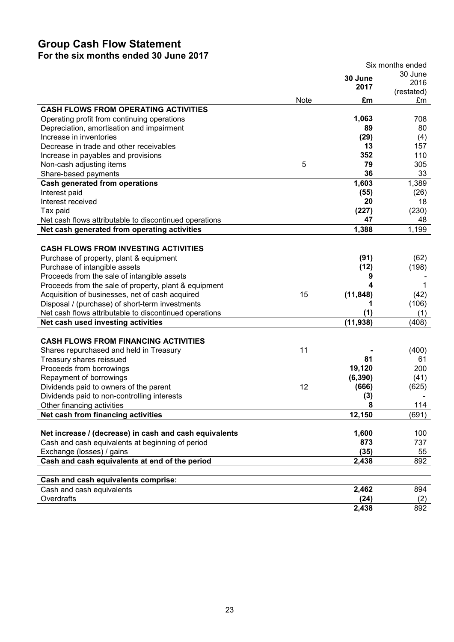## **Group Cash Flow Statement**

#### **For the six months ended 30 June 2017**

|                                                        |             |           | Six months ended |
|--------------------------------------------------------|-------------|-----------|------------------|
|                                                        |             | 30 June   | 30 June          |
|                                                        |             | 2017      | 2016             |
|                                                        |             |           | (restated)       |
|                                                        | <b>Note</b> | £m        | £m               |
| <b>CASH FLOWS FROM OPERATING ACTIVITIES</b>            |             |           |                  |
| Operating profit from continuing operations            |             | 1,063     | 708              |
| Depreciation, amortisation and impairment              |             | 89        | 80               |
| Increase in inventories                                |             | (29)      | (4)              |
| Decrease in trade and other receivables                |             | 13        | 157              |
| Increase in payables and provisions                    |             | 352       | 110              |
| Non-cash adjusting items                               | 5           | 79        | 305              |
| Share-based payments                                   |             | 36        | 33               |
| <b>Cash generated from operations</b>                  |             | 1,603     | 1,389            |
| Interest paid                                          |             | (55)      | (26)             |
| Interest received                                      |             | 20        | 18               |
| Tax paid                                               |             | (227)     | (230)            |
| Net cash flows attributable to discontinued operations |             | 47        | 48               |
| Net cash generated from operating activities           |             | 1,388     | 1,199            |
|                                                        |             |           |                  |
| <b>CASH FLOWS FROM INVESTING ACTIVITIES</b>            |             |           |                  |
|                                                        |             |           |                  |
| Purchase of property, plant & equipment                |             | (91)      | (62)             |
| Purchase of intangible assets                          |             | (12)      | (198)            |
| Proceeds from the sale of intangible assets            |             | 9         |                  |
| Proceeds from the sale of property, plant & equipment  |             |           | 1                |
| Acquisition of businesses, net of cash acquired        | 15          | (11, 848) | (42)             |
| Disposal / (purchase) of short-term investments        |             |           | (106)            |
| Net cash flows attributable to discontinued operations |             | (1)       | (1)              |
| Net cash used investing activities                     |             | (11, 938) | (408)            |
|                                                        |             |           |                  |
| <b>CASH FLOWS FROM FINANCING ACTIVITIES</b>            |             |           |                  |
| Shares repurchased and held in Treasury                | 11          |           | (400)            |
| Treasury shares reissued                               |             | 81        | 61               |
| Proceeds from borrowings                               |             | 19,120    | 200              |
| Repayment of borrowings                                |             | (6, 390)  | (41)             |
| Dividends paid to owners of the parent                 | 12          | (666)     | (625)            |
| Dividends paid to non-controlling interests            |             | (3)       |                  |
| Other financing activities                             |             | 8         | 114              |
| Net cash from financing activities                     |             | 12,150    | (691)            |
|                                                        |             |           |                  |
| Net increase / (decrease) in cash and cash equivalents |             | 1,600     | 100              |
| Cash and cash equivalents at beginning of period       |             | 873       | 737              |
| Exchange (losses) / gains                              |             | (35)      | 55               |
| Cash and cash equivalents at end of the period         |             | 2,438     | 892              |
|                                                        |             |           |                  |
| Cash and cash equivalents comprise:                    |             |           |                  |
| Cash and cash equivalents                              |             | 2,462     | 894              |
| Overdrafts                                             |             | (24)      |                  |
|                                                        |             |           | (2)              |
|                                                        |             | 2,438     | 892              |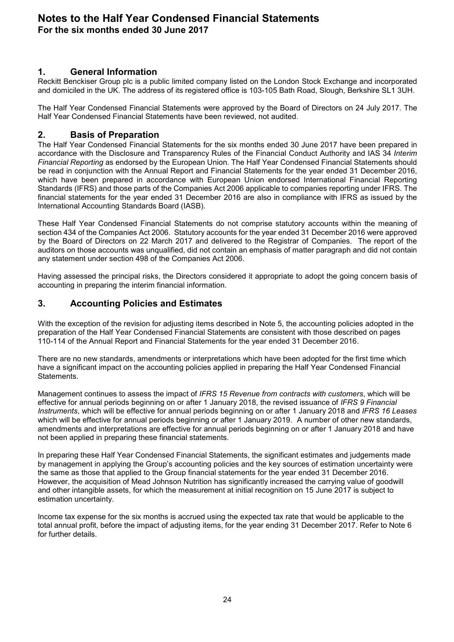#### **1. General Information**

Reckitt Benckiser Group plc is a public limited company listed on the London Stock Exchange and incorporated and domiciled in the UK. The address of its registered office is 103-105 Bath Road, Slough, Berkshire SL1 3UH.

The Half Year Condensed Financial Statements were approved by the Board of Directors on 24 July 2017. The Half Year Condensed Financial Statements have been reviewed, not audited.

#### **2. Basis of Preparation**

The Half Year Condensed Financial Statements for the six months ended 30 June 2017 have been prepared in accordance with the Disclosure and Transparency Rules of the Financial Conduct Authority and IAS 34 *Interim Financial Reporting* as endorsed by the European Union. The Half Year Condensed Financial Statements should be read in conjunction with the Annual Report and Financial Statements for the year ended 31 December 2016, which have been prepared in accordance with European Union endorsed International Financial Reporting Standards (IFRS) and those parts of the Companies Act 2006 applicable to companies reporting under IFRS. The financial statements for the year ended 31 December 2016 are also in compliance with IFRS as issued by the International Accounting Standards Board (IASB).

These Half Year Condensed Financial Statements do not comprise statutory accounts within the meaning of section 434 of the Companies Act 2006. Statutory accounts for the year ended 31 December 2016 were approved by the Board of Directors on 22 March 2017 and delivered to the Registrar of Companies. The report of the auditors on those accounts was unqualified, did not contain an emphasis of matter paragraph and did not contain any statement under section 498 of the Companies Act 2006.

Having assessed the principal risks, the Directors considered it appropriate to adopt the going concern basis of accounting in preparing the interim financial information.

## **3. Accounting Policies and Estimates**

With the exception of the revision for adjusting items described in Note 5, the accounting policies adopted in the preparation of the Half Year Condensed Financial Statements are consistent with those described on pages 110-114 of the Annual Report and Financial Statements for the year ended 31 December 2016.

There are no new standards, amendments or interpretations which have been adopted for the first time which have a significant impact on the accounting policies applied in preparing the Half Year Condensed Financial Statements.

Management continues to assess the impact of *IFRS 15 Revenue from contracts with customers*, which will be effective for annual periods beginning on or after 1 January 2018, the revised issuance of *IFRS 9 Financial Instruments*, which will be effective for annual periods beginning on or after 1 January 2018 and *IFRS 16 Leases* which will be effective for annual periods beginning or after 1 January 2019. A number of other new standards, amendments and interpretations are effective for annual periods beginning on or after 1 January 2018 and have not been applied in preparing these financial statements.

In preparing these Half Year Condensed Financial Statements, the significant estimates and judgements made by management in applying the Group's accounting policies and the key sources of estimation uncertainty were the same as those that applied to the Group financial statements for the year ended 31 December 2016. However, the acquisition of Mead Johnson Nutrition has significantly increased the carrying value of goodwill and other intangible assets, for which the measurement at initial recognition on 15 June 2017 is subject to estimation uncertainty.

Income tax expense for the six months is accrued using the expected tax rate that would be applicable to the total annual profit, before the impact of adjusting items, for the year ending 31 December 2017. Refer to Note 6 for further details.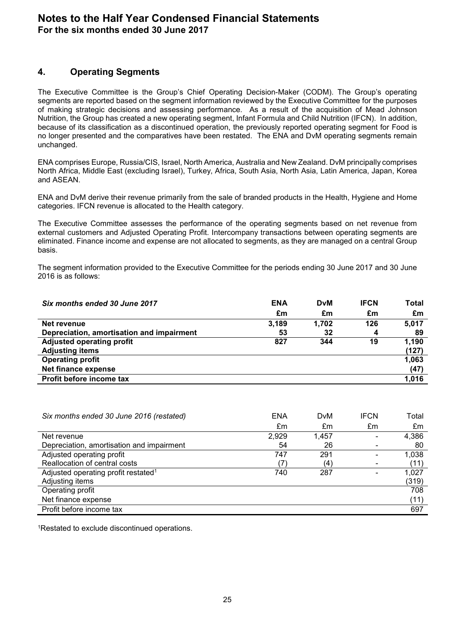## **4. Operating Segments**

The Executive Committee is the Group's Chief Operating Decision-Maker (CODM). The Group's operating segments are reported based on the segment information reviewed by the Executive Committee for the purposes of making strategic decisions and assessing performance. As a result of the acquisition of Mead Johnson Nutrition, the Group has created a new operating segment, Infant Formula and Child Nutrition (IFCN). In addition, because of its classification as a discontinued operation, the previously reported operating segment for Food is no longer presented and the comparatives have been restated. The ENA and DvM operating segments remain unchanged.

ENA comprises Europe, Russia/CIS, Israel, North America, Australia and New Zealand. DvM principally comprises North Africa, Middle East (excluding Israel), Turkey, Africa, South Asia, North Asia, Latin America, Japan, Korea and ASEAN.

ENA and DvM derive their revenue primarily from the sale of branded products in the Health, Hygiene and Home categories. IFCN revenue is allocated to the Health category.

The Executive Committee assesses the performance of the operating segments based on net revenue from external customers and Adjusted Operating Profit. Intercompany transactions between operating segments are eliminated. Finance income and expense are not allocated to segments, as they are managed on a central Group basis.

The segment information provided to the Executive Committee for the periods ending 30 June 2017 and 30 June 2016 is as follows:

| Six months ended 30 June 2017             | <b>ENA</b> | <b>DvM</b> | <b>IFCN</b> | Total |
|-------------------------------------------|------------|------------|-------------|-------|
|                                           | £m         | £m         | £m          | £m    |
| Net revenue                               | 3,189      | 1,702      | 126         | 5,017 |
| Depreciation, amortisation and impairment | 53         | 32         | 4           | 89    |
| <b>Adjusted operating profit</b>          | 827        | 344        | 19          | 1,190 |
| <b>Adjusting items</b>                    |            |            |             | (127) |
| <b>Operating profit</b>                   |            |            |             | 1,063 |
| Net finance expense                       |            |            |             | (47)  |
| Profit before income tax                  |            |            |             | 1,016 |
|                                           |            |            |             |       |

| Six months ended 30 June 2016 (restated)        | <b>ENA</b> | DvM   | <b>IFCN</b>                  | Total |
|-------------------------------------------------|------------|-------|------------------------------|-------|
|                                                 | £m         | £m    | £m                           | £m    |
| Net revenue                                     | 2,929      | 1,457 |                              | 4,386 |
| Depreciation, amortisation and impairment       | 54         | 26    |                              | 80    |
| Adjusted operating profit                       | 747        | 291   |                              | 1,038 |
| Reallocation of central costs                   | (7         | (4)   |                              | (11)  |
| Adjusted operating profit restated <sup>1</sup> | 740        | 287   | $\qquad \qquad \blacksquare$ | 1,027 |
| Adjusting items                                 |            |       |                              | (319) |
| Operating profit                                |            |       |                              | 708   |
| Net finance expense                             |            |       |                              | (11)  |
| Profit before income tax                        |            |       |                              | 697   |

1Restated to exclude discontinued operations.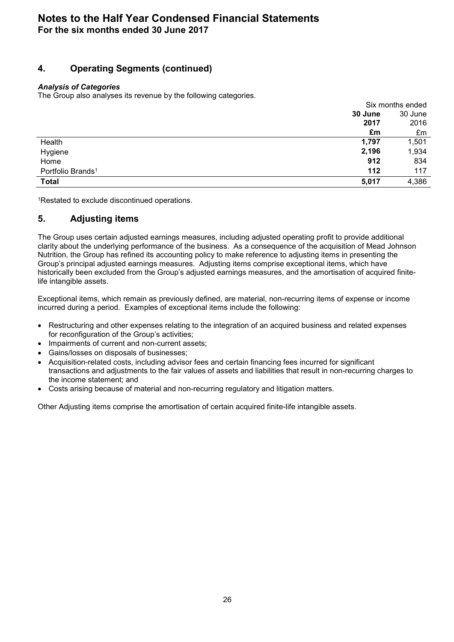## **4. Operating Segments (continued)**

#### *Analysis of Categories*

The Group also analyses its revenue by the following categories.

|                               | Six months ended |         |
|-------------------------------|------------------|---------|
|                               | 30 June          | 30 June |
|                               | 2017             | 2016    |
|                               | £m               | £m      |
| Health                        | 1,797            | 1,501   |
| Hygiene                       | 2,196            | 1,934   |
| Home                          | 912              | 834     |
| Portfolio Brands <sup>1</sup> | 112              | 117     |
| <b>Total</b>                  | 5,017            | 4,386   |

<sup>1</sup>Restated to exclude discontinued operations.

#### **5. Adjusting items**

The Group uses certain adjusted earnings measures, including adjusted operating profit to provide additional clarity about the underlying performance of the business. As a consequence of the acquisition of Mead Johnson Nutrition, the Group has refined its accounting policy to make reference to adjusting items in presenting the Group's principal adjusted earnings measures. Adjusting items comprise exceptional items, which have historically been excluded from the Group's adjusted earnings measures, and the amortisation of acquired finitelife intangible assets.

Exceptional items, which remain as previously defined, are material, non-recurring items of expense or income incurred during a period. Examples of exceptional items include the following:

- Restructuring and other expenses relating to the integration of an acquired business and related expenses for reconfiguration of the Group's activities:
- Impairments of current and non-current assets;
- Gains/losses on disposals of businesses;
- Acquisition-related costs, including advisor fees and certain financing fees incurred for significant transactions and adjustments to the fair values of assets and liabilities that result in non-recurring charges to the income statement; and
- Costs arising because of material and non-recurring regulatory and litigation matters.

Other Adjusting items comprise the amortisation of certain acquired finite-life intangible assets.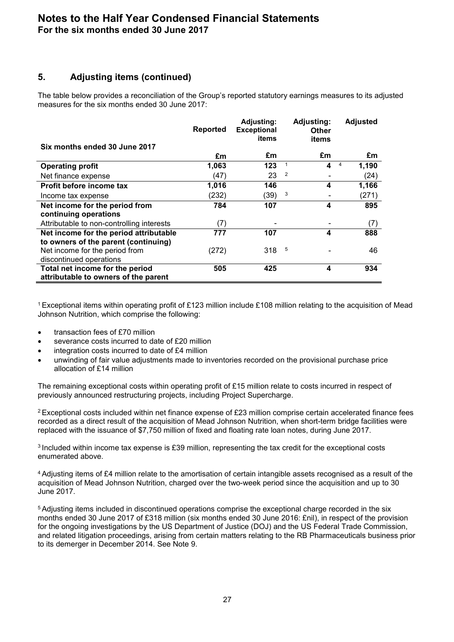## **5. Adjusting items (continued)**

The table below provides a reconciliation of the Group's reported statutory earnings measures to its adjusted measures for the six months ended 30 June 2017:

|                                           | <b>Reported</b> | Adjusting:<br><b>Exceptional</b><br>items |   | Adjusting:<br>Other<br>items |   | <b>Adjusted</b> |
|-------------------------------------------|-----------------|-------------------------------------------|---|------------------------------|---|-----------------|
| Six months ended 30 June 2017             |                 |                                           |   |                              |   |                 |
|                                           | £m              | £m                                        |   | £m                           |   | £m              |
| <b>Operating profit</b>                   | 1,063           | 123                                       |   | 4                            | 4 | 1,190           |
| Net finance expense                       | (47)            | 23                                        | 2 |                              |   | (24)            |
| Profit before income tax                  | 1,016           | 146                                       |   | 4                            |   | 1,166           |
| Income tax expense                        | (232)           | (39)                                      | 3 |                              |   | (271)           |
| Net income for the period from            | 784             | 107                                       |   | 4                            |   | 895             |
| continuing operations                     |                 |                                           |   |                              |   |                 |
| Attributable to non-controlling interests | (7)             |                                           |   |                              |   | (7)             |
| Net income for the period attributable    | 777             | 107                                       |   | 4                            |   | 888             |
| to owners of the parent (continuing)      |                 |                                           |   |                              |   |                 |
| Net income for the period from            | (272)           | 318                                       | 5 |                              |   | 46              |
| discontinued operations                   |                 |                                           |   |                              |   |                 |
| Total net income for the period           | 505             | 425                                       |   | 4                            |   | 934             |
| attributable to owners of the parent      |                 |                                           |   |                              |   |                 |

<sup>1</sup>Exceptional items within operating profit of £123 million include £108 million relating to the acquisition of Mead Johnson Nutrition, which comprise the following:

- transaction fees of £70 million
- severance costs incurred to date of £20 million
- integration costs incurred to date of £4 million
- unwinding of fair value adjustments made to inventories recorded on the provisional purchase price allocation of £14 million

The remaining exceptional costs within operating profit of £15 million relate to costs incurred in respect of previously announced restructuring projects, including Project Supercharge.

<sup>2</sup>Exceptional costs included within net finance expense of £23 million comprise certain accelerated finance fees recorded as a direct result of the acquisition of Mead Johnson Nutrition, when short-term bridge facilities were replaced with the issuance of \$7,750 million of fixed and floating rate loan notes, during June 2017.

<sup>3</sup>Included within income tax expense is £39 million, representing the tax credit for the exceptional costs enumerated above.

<sup>4</sup>Adjusting items of £4 million relate to the amortisation of certain intangible assets recognised as a result of the acquisition of Mead Johnson Nutrition, charged over the two-week period since the acquisition and up to 30 June 2017.

<sup>5</sup>Adjusting items included in discontinued operations comprise the exceptional charge recorded in the six months ended 30 June 2017 of £318 million (six months ended 30 June 2016: £nil), in respect of the provision for the ongoing investigations by the US Department of Justice (DOJ) and the US Federal Trade Commission, and related litigation proceedings, arising from certain matters relating to the RB Pharmaceuticals business prior to its demerger in December 2014. See Note 9.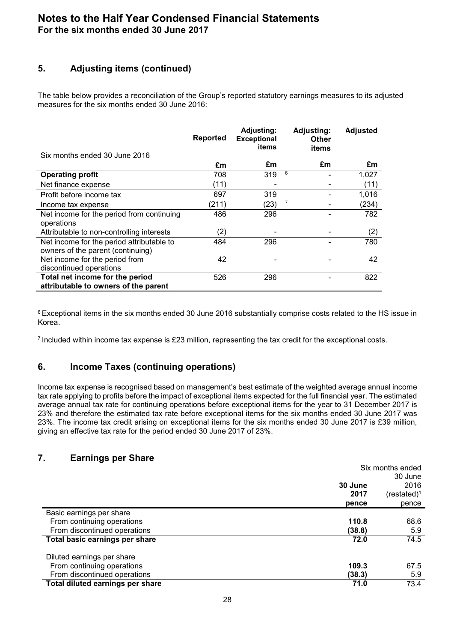## **5. Adjusting items (continued)**

The table below provides a reconciliation of the Group's reported statutory earnings measures to its adjusted measures for the six months ended 30 June 2016:

|                                                                                | Reported | Adjusting:<br><b>Exceptional</b><br>items | Adjusting:<br><b>Other</b><br>items | <b>Adjusted</b> |
|--------------------------------------------------------------------------------|----------|-------------------------------------------|-------------------------------------|-----------------|
| Six months ended 30 June 2016                                                  | £m       | £m                                        | £m                                  | £m              |
| <b>Operating profit</b>                                                        | 708      | 319                                       | 6                                   | 1,027           |
| Net finance expense                                                            | (11)     |                                           |                                     | (11)            |
| Profit before income tax                                                       | 697      | 319                                       |                                     | 1,016           |
| Income tax expense                                                             | (211)    | (23)                                      | 7                                   | (234)           |
| Net income for the period from continuing<br>operations                        | 486      | 296                                       |                                     | 782             |
| Attributable to non-controlling interests                                      | (2)      |                                           |                                     | (2)             |
| Net income for the period attributable to<br>owners of the parent (continuing) | 484      | 296                                       |                                     | 780             |
| Net income for the period from<br>discontinued operations                      | 42       |                                           |                                     | 42              |
| Total net income for the period<br>attributable to owners of the parent        | 526      | 296                                       |                                     | 822             |

<sup>6</sup>Exceptional items in the six months ended 30 June 2016 substantially comprise costs related to the HS issue in Korea.

<sup>7</sup>Included within income tax expense is £23 million, representing the tax credit for the exceptional costs.

### **6. Income Taxes (continuing operations)**

Income tax expense is recognised based on management's best estimate of the weighted average annual income tax rate applying to profits before the impact of exceptional items expected for the full financial year. The estimated average annual tax rate for continuing operations before exceptional items for the year to 31 December 2017 is 23% and therefore the estimated tax rate before exceptional items for the six months ended 30 June 2017 was 23%. The income tax credit arising on exceptional items for the six months ended 30 June 2017 is £39 million, giving an effective tax rate for the period ended 30 June 2017 of 23%.

### **7. Earnings per Share**

|                                  |         | Six months ended |
|----------------------------------|---------|------------------|
|                                  |         | 30 June          |
|                                  | 30 June | 2016             |
|                                  | 2017    | $(rested)^1$     |
|                                  | pence   | pence            |
| Basic earnings per share         |         |                  |
| From continuing operations       | 110.8   | 68.6             |
| From discontinued operations     | (38.8)  | 5.9              |
| Total basic earnings per share   | 72.0    | 74.5             |
| Diluted earnings per share       |         |                  |
| From continuing operations       | 109.3   | 67.5             |
| From discontinued operations     | (38.3)  | 5.9              |
| Total diluted earnings per share | 71.0    | 73.4             |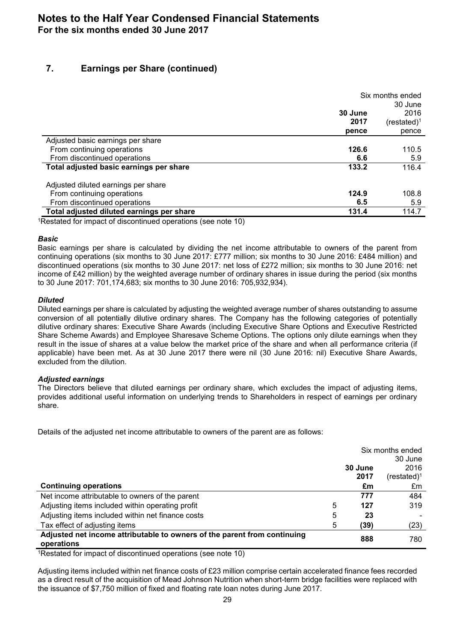## **7. Earnings per Share (continued)**

|                                                    | 30 June                  |
|----------------------------------------------------|--------------------------|
| 30 June                                            | 2016                     |
| 2017                                               | (re stated) <sup>1</sup> |
| pence                                              | pence                    |
| Adjusted basic earnings per share                  |                          |
| From continuing operations<br>126.6                | 110.5                    |
| From discontinued operations<br>6.6                | 5.9                      |
| Total adjusted basic earnings per share<br>133.2   | 116.4                    |
| Adjusted diluted earnings per share                |                          |
| 124.9<br>From continuing operations                | 108.8                    |
| From discontinued operations<br>6.5                | 5.9                      |
| Total adjusted diluted earnings per share<br>131.4 | 114.7                    |

<sup>1</sup>Restated for impact of discontinued operations (see note 10)

#### *Basic*

Basic earnings per share is calculated by dividing the net income attributable to owners of the parent from continuing operations (six months to 30 June 2017: £777 million; six months to 30 June 2016: £484 million) and discontinued operations (six months to 30 June 2017: net loss of £272 million; six months to 30 June 2016: net income of £42 million) by the weighted average number of ordinary shares in issue during the period (six months to 30 June 2017: 701,174,683; six months to 30 June 2016: 705,932,934).

#### *Diluted*

Diluted earnings per share is calculated by adjusting the weighted average number of shares outstanding to assume conversion of all potentially dilutive ordinary shares. The Company has the following categories of potentially dilutive ordinary shares: Executive Share Awards (including Executive Share Options and Executive Restricted Share Scheme Awards) and Employee Sharesave Scheme Options. The options only dilute earnings when they result in the issue of shares at a value below the market price of the share and when all performance criteria (if applicable) have been met. As at 30 June 2017 there were nil (30 June 2016: nil) Executive Share Awards, excluded from the dilution.

#### *Adjusted earnings*

The Directors believe that diluted earnings per ordinary share, which excludes the impact of adjusting items, provides additional useful information on underlying trends to Shareholders in respect of earnings per ordinary share.

Details of the adjusted net income attributable to owners of the parent are as follows:

|                                                                                        |   |         | Six months ended |
|----------------------------------------------------------------------------------------|---|---------|------------------|
|                                                                                        |   |         | 30 June          |
|                                                                                        |   | 30 June | 2016             |
|                                                                                        |   | 2017    | $(rested)^1$     |
| <b>Continuing operations</b>                                                           |   | £m      | £m               |
| Net income attributable to owners of the parent                                        |   | 777     | 484              |
| Adjusting items included within operating profit                                       | 5 | 127     | 319              |
| Adjusting items included within net finance costs                                      | 5 | 23      |                  |
| Tax effect of adjusting items                                                          | 5 | (39)    | (23)             |
| Adjusted net income attributable to owners of the parent from continuing<br>operations |   | 888     | 780              |

<sup>1</sup>Restated for impact of discontinued operations (see note 10)

Adjusting items included within net finance costs of £23 million comprise certain accelerated finance fees recorded as a direct result of the acquisition of Mead Johnson Nutrition when short-term bridge facilities were replaced with the issuance of \$7,750 million of fixed and floating rate loan notes during June 2017.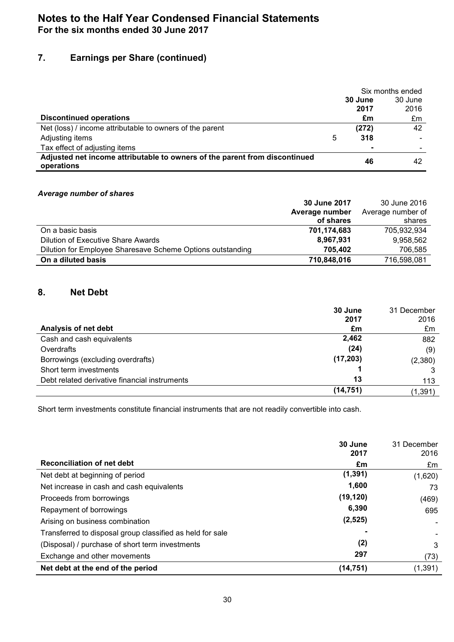## **7. Earnings per Share (continued)**

|                                                                            |   |         | Six months ended |
|----------------------------------------------------------------------------|---|---------|------------------|
|                                                                            |   | 30 June | 30 June          |
|                                                                            |   | 2017    | 2016             |
| <b>Discontinued operations</b>                                             |   | £m      | £m               |
| Net (loss) / income attributable to owners of the parent                   |   | (272)   | 42               |
| Adjusting items                                                            | 5 | 318     |                  |
| Tax effect of adjusting items                                              |   |         |                  |
| Adjusted net income attributable to owners of the parent from discontinued |   | 46      | 42               |
| operations                                                                 |   |         |                  |

#### *Average number of shares*

|                                                            | 30 June 2017   | 30 June 2016      |
|------------------------------------------------------------|----------------|-------------------|
|                                                            | Average number | Average number of |
|                                                            | of shares      | shares            |
| On a basic basis                                           | 701,174,683    | 705.932.934       |
| Dilution of Executive Share Awards                         | 8,967,931      | 9,958,562         |
| Dilution for Employee Sharesave Scheme Options outstanding | 705.402        | 706.585           |
| On a diluted basis                                         | 710,848,016    | 716,598,081       |

## **8. Net Debt**

|                                               | 30 June   | 31 December |
|-----------------------------------------------|-----------|-------------|
|                                               | 2017      | 2016        |
| Analysis of net debt                          | £m        | £m          |
| Cash and cash equivalents                     | 2,462     | 882         |
| Overdrafts                                    | (24)      | (9)         |
| Borrowings (excluding overdrafts)             | (17, 203) | (2,380)     |
| Short term investments                        |           |             |
| Debt related derivative financial instruments | 13        | 113         |
|                                               | (14, 751) | (1, 391)    |

Short term investments constitute financial instruments that are not readily convertible into cash.

|                                                           | 30 June<br>2017 | 31 December<br>2016 |
|-----------------------------------------------------------|-----------------|---------------------|
| <b>Reconciliation of net debt</b>                         | £m              | £m                  |
| Net debt at beginning of period                           | (1, 391)        | (1,620)             |
| Net increase in cash and cash equivalents                 | 1,600           | 73                  |
| Proceeds from borrowings                                  | (19, 120)       | (469)               |
| Repayment of borrowings                                   | 6,390           | 695                 |
| Arising on business combination                           | (2, 525)        |                     |
| Transferred to disposal group classified as held for sale |                 |                     |
| (Disposal) / purchase of short term investments           | (2)             | 3                   |
| Exchange and other movements                              | 297             | (73)                |
| Net debt at the end of the period                         | (14, 751)       | (1, 391)            |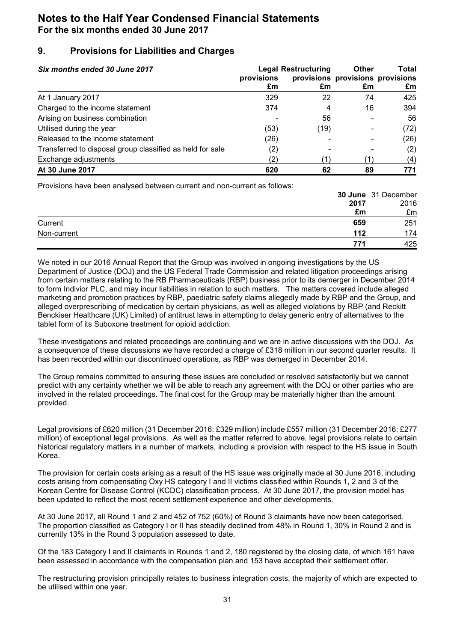### **9. Provisions for Liabilities and Charges**

| Six months ended 30 June 2017                             |            | <b>Legal Restructuring</b> | Other | Total                            |
|-----------------------------------------------------------|------------|----------------------------|-------|----------------------------------|
|                                                           | provisions |                            |       | provisions provisions provisions |
|                                                           | £m         | £m                         | £m    | £m                               |
| At 1 January 2017                                         | 329        | 22                         | 74    | 425                              |
| Charged to the income statement                           | 374        | 4                          | 16    | 394                              |
| Arising on business combination                           |            | 56                         |       | 56                               |
| Utilised during the year                                  | (53)       | (19)                       |       | (72)                             |
| Released to the income statement                          | (26)       |                            |       | (26)                             |
| Transferred to disposal group classified as held for sale | (2)        |                            |       | (2)                              |
| Exchange adjustments                                      | (2)        | (1)                        | '1 \  | (4)                              |
| At 30 June 2017                                           | 620        | 62                         | 89    | 771                              |

Provisions have been analysed between current and non-current as follows:

|             |      | <b>30 June</b> 31 December |
|-------------|------|----------------------------|
|             | 2017 | 2016                       |
|             | £m   | £m                         |
| Current     | 659  | 251                        |
| Non-current | 112  | 174                        |
|             | 771  | 425                        |

We noted in our 2016 Annual Report that the Group was involved in ongoing investigations by the US Department of Justice (DOJ) and the US Federal Trade Commission and related litigation proceedings arising from certain matters relating to the RB Pharmaceuticals (RBP) business prior to its demerger in December 2014 to form Indivior PLC, and may incur liabilities in relation to such matters. The matters covered include alleged marketing and promotion practices by RBP, paediatric safety claims allegedly made by RBP and the Group, and alleged overprescribing of medication by certain physicians, as well as alleged violations by RBP (and Reckitt Benckiser Healthcare (UK) Limited) of antitrust laws in attempting to delay generic entry of alternatives to the tablet form of its Suboxone treatment for opioid addiction.

These investigations and related proceedings are continuing and we are in active discussions with the DOJ. As a consequence of these discussions we have recorded a charge of £318 million in our second quarter results. It has been recorded within our discontinued operations, as RBP was demerged in December 2014.

The Group remains committed to ensuring these issues are concluded or resolved satisfactorily but we cannot predict with any certainty whether we will be able to reach any agreement with the DOJ or other parties who are involved in the related proceedings. The final cost for the Group may be materially higher than the amount provided.

Legal provisions of £620 million (31 December 2016: £329 million) include £557 million (31 December 2016: £277 million) of exceptional legal provisions. As well as the matter referred to above, legal provisions relate to certain historical regulatory matters in a number of markets, including a provision with respect to the HS issue in South Korea.

The provision for certain costs arising as a result of the HS issue was originally made at 30 June 2016, including costs arising from compensating Oxy HS category I and II victims classified within Rounds 1, 2 and 3 of the Korean Centre for Disease Control (KCDC) classification process. At 30 June 2017, the provision model has been updated to reflect the most recent settlement experience and other developments.

At 30 June 2017, all Round 1 and 2 and 452 of 752 (60%) of Round 3 claimants have now been categorised. The proportion classified as Category I or II has steadily declined from 48% in Round 1, 30% in Round 2 and is currently 13% in the Round 3 population assessed to date.

Of the 183 Category I and II claimants in Rounds 1 and 2, 180 registered by the closing date, of which 161 have been assessed in accordance with the compensation plan and 153 have accepted their settlement offer.

The restructuring provision principally relates to business integration costs, the majority of which are expected to be utilised within one year.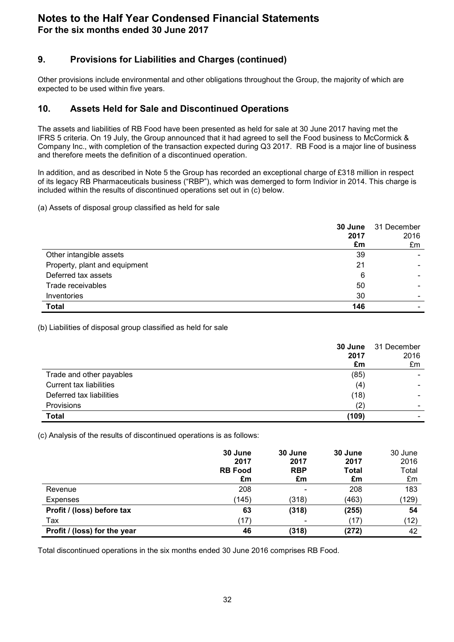## **9. Provisions for Liabilities and Charges (continued)**

Other provisions include environmental and other obligations throughout the Group, the majority of which are expected to be used within five years.

#### **10. Assets Held for Sale and Discontinued Operations**

The assets and liabilities of RB Food have been presented as held for sale at 30 June 2017 having met the IFRS 5 criteria. On 19 July, the Group announced that it had agreed to sell the Food business to McCormick & Company Inc., with completion of the transaction expected during Q3 2017. RB Food is a major line of business and therefore meets the definition of a discontinued operation.

In addition, and as described in Note 5 the Group has recorded an exceptional charge of £318 million in respect of its legacy RB Pharmaceuticals business ("RBP"), which was demerged to form Indivior in 2014. This charge is included within the results of discontinued operations set out in (c) below.

(a) Assets of disposal group classified as held for sale

|                               | <b>30 June</b><br>2017 | 31 December<br>2016 |
|-------------------------------|------------------------|---------------------|
|                               | £m                     | £m                  |
| Other intangible assets       | 39                     |                     |
| Property, plant and equipment | 21                     |                     |
| Deferred tax assets           | 6                      |                     |
| Trade receivables             | 50                     |                     |
| Inventories                   | 30                     |                     |
| <b>Total</b>                  | 146                    |                     |

(b) Liabilities of disposal group classified as held for sale

|                                | <b>30 June</b><br>2017 | 31 December<br>2016      |
|--------------------------------|------------------------|--------------------------|
|                                | £m                     | £m                       |
| Trade and other payables       | (85)                   | $\overline{\phantom{0}}$ |
| <b>Current tax liabilities</b> | (4)                    |                          |
| Deferred tax liabilities       | (18)                   |                          |
| Provisions                     | (2)                    |                          |
| <b>Total</b>                   | (109)                  |                          |

(c) Analysis of the results of discontinued operations is as follows:

|                              | 30 June<br>2017<br><b>RB Food</b><br>£m | 30 June<br>2017<br><b>RBP</b><br>£m | 30 June<br>2017<br><b>Total</b><br>£m | 30 June<br>2016<br>Total<br>£m |
|------------------------------|-----------------------------------------|-------------------------------------|---------------------------------------|--------------------------------|
| Revenue                      | 208                                     |                                     | 208                                   | 183                            |
| Expenses                     | (145)                                   | (318)                               | (463)                                 | (129)                          |
| Profit / (loss) before tax   | 63                                      | (318)                               | (255)                                 | 54                             |
| Tax                          | (17)                                    |                                     | (17)                                  | (12)                           |
| Profit / (loss) for the year | 46                                      | (318)                               | (272)                                 | 42                             |

Total discontinued operations in the six months ended 30 June 2016 comprises RB Food.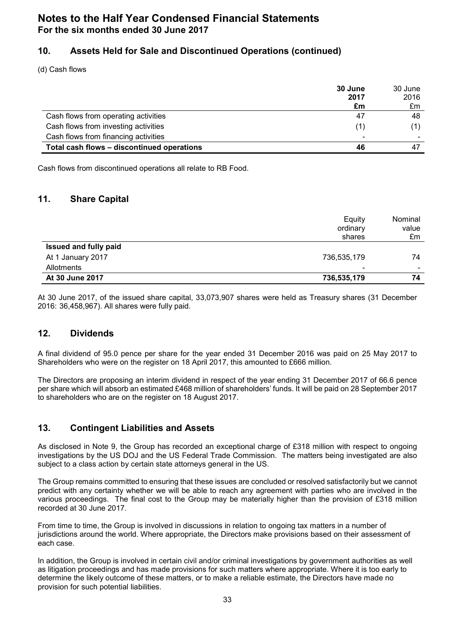## **10. Assets Held for Sale and Discontinued Operations (continued)**

(d) Cash flows

|                                            | 30 June<br>2017 | 30 June<br>2016 |
|--------------------------------------------|-----------------|-----------------|
|                                            | £m              | £m              |
| Cash flows from operating activities       | 47              | 48              |
| Cash flows from investing activities       | (1)             | (1)             |
| Cash flows from financing activities       | -               |                 |
| Total cash flows - discontinued operations | 46              |                 |

Cash flows from discontinued operations all relate to RB Food.

#### **11. Share Capital**

|                       | Equity<br>ordinary<br>shares | Nominal<br>value<br>£m |
|-----------------------|------------------------------|------------------------|
| Issued and fully paid |                              |                        |
| At 1 January 2017     | 736,535,179                  | 74                     |
| Allotments            | $\overline{\phantom{0}}$     |                        |
| At 30 June 2017       | 736,535,179                  | 74                     |

At 30 June 2017, of the issued share capital, 33,073,907 shares were held as Treasury shares (31 December 2016: 36,458,967). All shares were fully paid.

#### **12. Dividends**

A final dividend of 95.0 pence per share for the year ended 31 December 2016 was paid on 25 May 2017 to Shareholders who were on the register on 18 April 2017, this amounted to £666 million.

The Directors are proposing an interim dividend in respect of the year ending 31 December 2017 of 66.6 pence per share which will absorb an estimated £468 million of shareholders' funds. It will be paid on 28 September 2017 to shareholders who are on the register on 18 August 2017.

#### **13. Contingent Liabilities and Assets**

As disclosed in Note 9, the Group has recorded an exceptional charge of £318 million with respect to ongoing investigations by the US DOJ and the US Federal Trade Commission. The matters being investigated are also subject to a class action by certain state attorneys general in the US.

The Group remains committed to ensuring that these issues are concluded or resolved satisfactorily but we cannot predict with any certainty whether we will be able to reach any agreement with parties who are involved in the various proceedings. The final cost to the Group may be materially higher than the provision of £318 million recorded at 30 June 2017.

From time to time, the Group is involved in discussions in relation to ongoing tax matters in a number of jurisdictions around the world. Where appropriate, the Directors make provisions based on their assessment of each case.

In addition, the Group is involved in certain civil and/or criminal investigations by government authorities as well as litigation proceedings and has made provisions for such matters where appropriate. Where it is too early to determine the likely outcome of these matters, or to make a reliable estimate, the Directors have made no provision for such potential liabilities.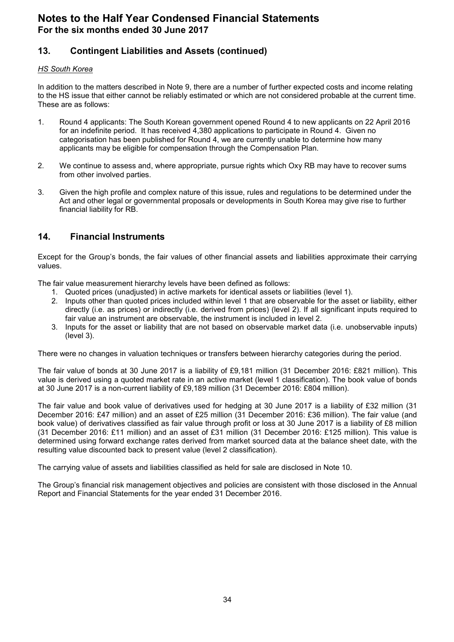## **13. Contingent Liabilities and Assets (continued)**

#### *HS South Korea*

In addition to the matters described in Note 9, there are a number of further expected costs and income relating to the HS issue that either cannot be reliably estimated or which are not considered probable at the current time. These are as follows:

- 1. Round 4 applicants: The South Korean government opened Round 4 to new applicants on 22 April 2016 for an indefinite period. It has received 4,380 applications to participate in Round 4. Given no categorisation has been published for Round 4, we are currently unable to determine how many applicants may be eligible for compensation through the Compensation Plan.
- 2. We continue to assess and, where appropriate, pursue rights which Oxy RB may have to recover sums from other involved parties.
- 3. Given the high profile and complex nature of this issue, rules and regulations to be determined under the Act and other legal or governmental proposals or developments in South Korea may give rise to further financial liability for RB.

#### **14. Financial Instruments**

Except for the Group's bonds, the fair values of other financial assets and liabilities approximate their carrying values.

The fair value measurement hierarchy levels have been defined as follows:

- 1. Quoted prices (unadjusted) in active markets for identical assets or liabilities (level 1).
- 2. Inputs other than quoted prices included within level 1 that are observable for the asset or liability, either directly (i.e. as prices) or indirectly (i.e. derived from prices) (level 2). If all significant inputs required to fair value an instrument are observable, the instrument is included in level 2.
- 3. Inputs for the asset or liability that are not based on observable market data (i.e. unobservable inputs) (level 3).

There were no changes in valuation techniques or transfers between hierarchy categories during the period.

The fair value of bonds at 30 June 2017 is a liability of £9,181 million (31 December 2016: £821 million). This value is derived using a quoted market rate in an active market (level 1 classification). The book value of bonds at 30 June 2017 is a non-current liability of £9,189 million (31 December 2016: £804 million).

The fair value and book value of derivatives used for hedging at 30 June 2017 is a liability of £32 million (31 December 2016: £47 million) and an asset of £25 million (31 December 2016: £36 million). The fair value (and book value) of derivatives classified as fair value through profit or loss at 30 June 2017 is a liability of £8 million (31 December 2016: £11 million) and an asset of £31 million (31 December 2016: £125 million). This value is determined using forward exchange rates derived from market sourced data at the balance sheet date, with the resulting value discounted back to present value (level 2 classification).

The carrying value of assets and liabilities classified as held for sale are disclosed in Note 10.

The Group's financial risk management objectives and policies are consistent with those disclosed in the Annual Report and Financial Statements for the year ended 31 December 2016.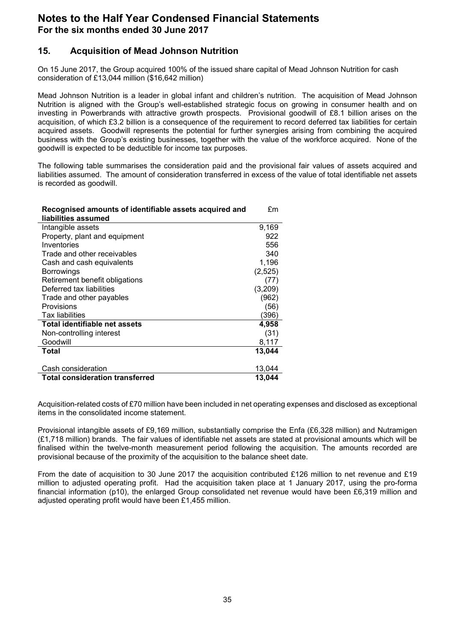### **15. Acquisition of Mead Johnson Nutrition**

On 15 June 2017, the Group acquired 100% of the issued share capital of Mead Johnson Nutrition for cash consideration of £13,044 million (\$16,642 million)

Mead Johnson Nutrition is a leader in global infant and children's nutrition. The acquisition of Mead Johnson Nutrition is aligned with the Group's well-established strategic focus on growing in consumer health and on investing in Powerbrands with attractive growth prospects. Provisional goodwill of £8.1 billion arises on the acquisition, of which £3.2 billion is a consequence of the requirement to record deferred tax liabilities for certain acquired assets. Goodwill represents the potential for further synergies arising from combining the acquired business with the Group's existing businesses, together with the value of the workforce acquired. None of the goodwill is expected to be deductible for income tax purposes.

The following table summarises the consideration paid and the provisional fair values of assets acquired and liabilities assumed. The amount of consideration transferred in excess of the value of total identifiable net assets is recorded as goodwill.

| Recognised amounts of identifiable assets acquired and | £m      |
|--------------------------------------------------------|---------|
| liabilities assumed                                    |         |
| Intangible assets                                      | 9,169   |
| Property, plant and equipment                          | 922     |
| Inventories                                            | 556     |
| Trade and other receivables                            | 340     |
| Cash and cash equivalents                              | 1,196   |
| <b>Borrowings</b>                                      | (2,525) |
| Retirement benefit obligations                         | (77)    |
| Deferred tax liabilities                               | (3,209) |
| Trade and other payables                               | (962)   |
| Provisions                                             | (56)    |
| Tax liabilities                                        | (396)   |
| Total identifiable net assets                          | 4,958   |
| Non-controlling interest                               | (31)    |
| Goodwill                                               | 8,117   |
| Total                                                  | 13,044  |
|                                                        |         |
| Cash consideration                                     | 13,044  |
| <b>Total consideration transferred</b>                 | 13,044  |

Acquisition-related costs of £70 million have been included in net operating expenses and disclosed as exceptional items in the consolidated income statement.

Provisional intangible assets of £9,169 million, substantially comprise the Enfa (£6,328 million) and Nutramigen (£1,718 million) brands. The fair values of identifiable net assets are stated at provisional amounts which will be finalised within the twelve-month measurement period following the acquisition. The amounts recorded are provisional because of the proximity of the acquisition to the balance sheet date.

From the date of acquisition to 30 June 2017 the acquisition contributed £126 million to net revenue and £19 million to adjusted operating profit. Had the acquisition taken place at 1 January 2017, using the pro-forma financial information (p10), the enlarged Group consolidated net revenue would have been £6,319 million and adjusted operating profit would have been £1,455 million.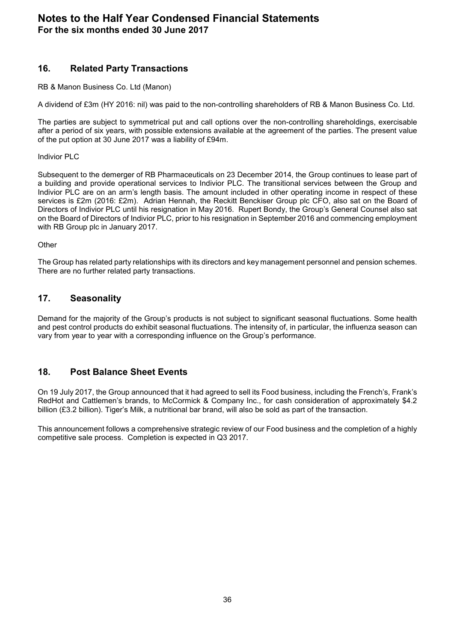## **16. Related Party Transactions**

RB & Manon Business Co. Ltd (Manon)

A dividend of £3m (HY 2016: nil) was paid to the non-controlling shareholders of RB & Manon Business Co. Ltd.

The parties are subject to symmetrical put and call options over the non-controlling shareholdings, exercisable after a period of six years, with possible extensions available at the agreement of the parties. The present value of the put option at 30 June 2017 was a liability of £94m.

Indivior PLC

Subsequent to the demerger of RB Pharmaceuticals on 23 December 2014, the Group continues to lease part of a building and provide operational services to Indivior PLC. The transitional services between the Group and Indivior PLC are on an arm's length basis. The amount included in other operating income in respect of these services is £2m (2016: £2m). Adrian Hennah, the Reckitt Benckiser Group plc CFO, also sat on the Board of Directors of Indivior PLC until his resignation in May 2016. Rupert Bondy, the Group's General Counsel also sat on the Board of Directors of Indivior PLC, prior to his resignation in September 2016 and commencing employment with RB Group plc in January 2017.

**Other** 

The Group has related party relationships with its directors and key management personnel and pension schemes. There are no further related party transactions.

#### **17. Seasonality**

Demand for the majority of the Group's products is not subject to significant seasonal fluctuations. Some health and pest control products do exhibit seasonal fluctuations. The intensity of, in particular, the influenza season can vary from year to year with a corresponding influence on the Group's performance.

#### **18. Post Balance Sheet Events**

On 19 July 2017, the Group announced that it had agreed to sell its Food business, including the French's, Frank's RedHot and Cattlemen's brands, to McCormick & Company Inc., for cash consideration of approximately \$4.2 billion (£3.2 billion). Tiger's Milk, a nutritional bar brand, will also be sold as part of the transaction.

This announcement follows a comprehensive strategic review of our Food business and the completion of a highly competitive sale process. Completion is expected in Q3 2017.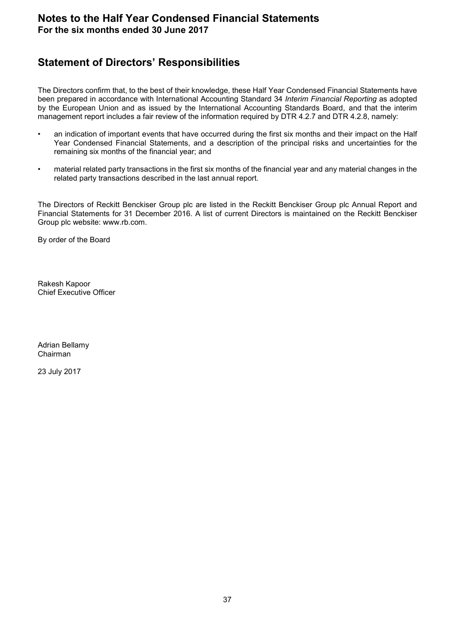## **Statement of Directors' Responsibilities**

The Directors confirm that, to the best of their knowledge, these Half Year Condensed Financial Statements have been prepared in accordance with International Accounting Standard 34 *Interim Financial Reporting* as adopted by the European Union and as issued by the International Accounting Standards Board, and that the interim management report includes a fair review of the information required by DTR 4.2.7 and DTR 4.2.8, namely:

- an indication of important events that have occurred during the first six months and their impact on the Half Year Condensed Financial Statements, and a description of the principal risks and uncertainties for the remaining six months of the financial year; and
- material related party transactions in the first six months of the financial year and any material changes in the related party transactions described in the last annual report.

The Directors of Reckitt Benckiser Group plc are listed in the Reckitt Benckiser Group plc Annual Report and Financial Statements for 31 December 2016. A list of current Directors is maintained on the Reckitt Benckiser Group plc website: www.rb.com.

By order of the Board

Rakesh Kapoor Chief Executive Officer

Adrian Bellamy Chairman

23 July 2017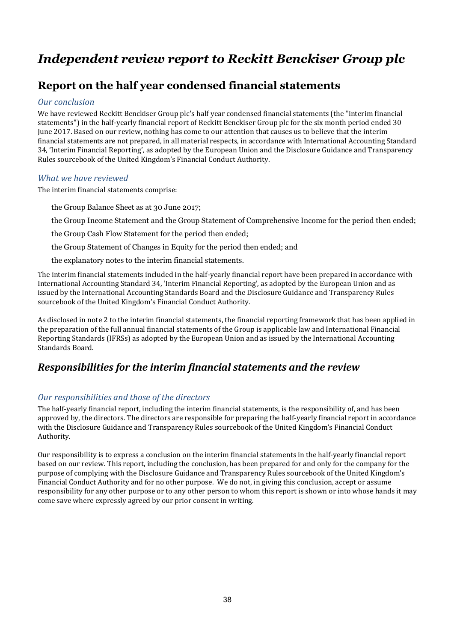# *Independent review report to Reckitt Benckiser Group plc*

# **Report on the half year condensed financial statements**

#### *Our conclusion*

We have reviewed Reckitt Benckiser Group plc's half year condensed financial statements (the "interim financial statements") in the half-yearly financial report of Reckitt Benckiser Group plc for the six month period ended 30 June 2017. Based on our review, nothing has come to our attention that causes us to believe that the interim financial statements are not prepared, in all material respects, in accordance with International Accounting Standard 34, 'Interim Financial Reporting', as adopted by the European Union and the Disclosure Guidance and Transparency Rules sourcebook of the United Kingdom's Financial Conduct Authority.

#### *What we have reviewed*

The interim financial statements comprise:

the Group Balance Sheet as at 30 June 2017;

the Group Income Statement and the Group Statement of Comprehensive Income for the period then ended;

the Group Cash Flow Statement for the period then ended;

the Group Statement of Changes in Equity for the period then ended; and

the explanatory notes to the interim financial statements.

The interim financial statements included in the half-yearly financial report have been prepared in accordance with International Accounting Standard 34, 'Interim Financial Reporting', as adopted by the European Union and as issued by the International Accounting Standards Board and the Disclosure Guidance and Transparency Rules sourcebook of the United Kingdom's Financial Conduct Authority.

As disclosed in note 2 to the interim financial statements, the financial reporting framework that has been applied in the preparation of the full annual financial statements of the Group is applicable law and International Financial Reporting Standards (IFRSs) as adopted by the European Union and as issued by the International Accounting Standards Board.

## *Responsibilities for the interim financial statements and the review*

## *Our responsibilities and those of the directors*

The half-yearly financial report, including the interim financial statements, is the responsibility of, and has been approved by, the directors. The directors are responsible for preparing the half-yearly financial report in accordance with the Disclosure Guidance and Transparency Rules sourcebook of the United Kingdom's Financial Conduct Authority.

Our responsibility is to express a conclusion on the interim financial statements in the half-yearly financial report based on our review. This report, including the conclusion, has been prepared for and only for the company for the purpose of complying with the Disclosure Guidance and Transparency Rules sourcebook of the United Kingdom's Financial Conduct Authority and for no other purpose. We do not, in giving this conclusion, accept or assume responsibility for any other purpose or to any other person to whom this report is shown or into whose hands it may come save where expressly agreed by our prior consent in writing.